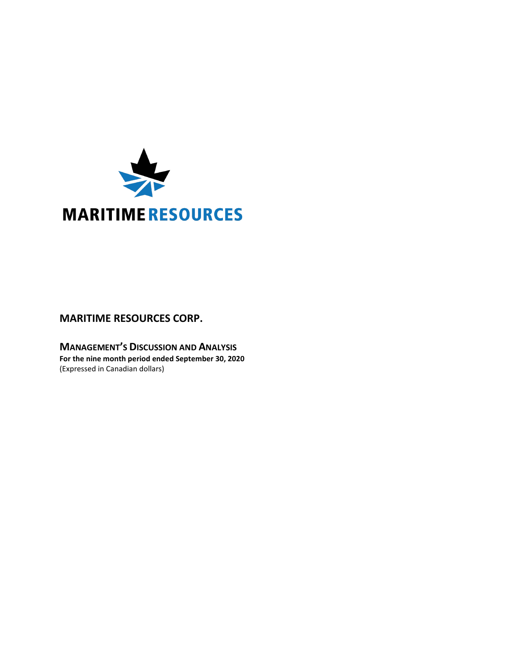

# **MARITIME RESOURCES CORP.**

**MANAGEMENT'S DISCUSSION AND ANALYSIS For the nine month period ended September 30, 2020** (Expressed in Canadian dollars)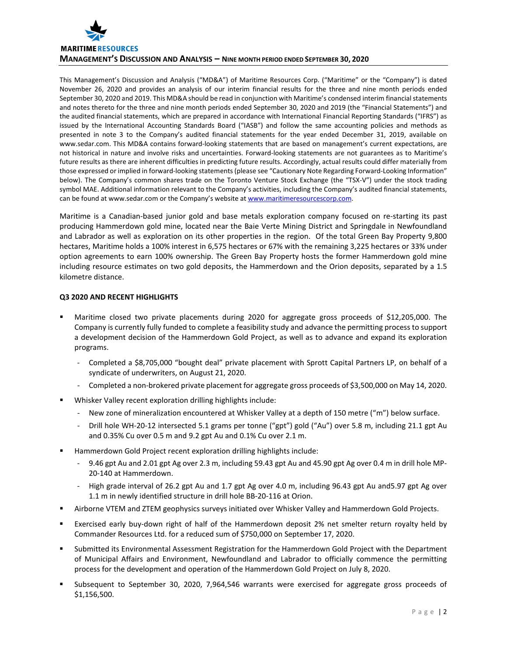

This Management's Discussion and Analysis ("MD&A") of Maritime Resources Corp. ("Maritime" or the "Company") is dated November 26, 2020 and provides an analysis of our interim financial results for the three and nine month periods ended September 30, 2020 and 2019. This MD&A should be read in conjunction with Maritime's condensed interim financial statements and notes thereto for the three and nine month periods ended September 30, 2020 and 2019 (the "Financial Statements") and the audited financial statements, which are prepared in accordance with International Financial Reporting Standards ("IFRS") as issued by the International Accounting Standards Board ("IASB") and follow the same accounting policies and methods as presented in note 3 to the Company's audited financial statements for the year ended December 31, 2019, available on www.sedar.com. This MD&A contains forward-looking statements that are based on management's current expectations, are not historical in nature and involve risks and uncertainties. Forward-looking statements are not guarantees as to Maritime's future results as there are inherent difficulties in predicting future results. Accordingly, actual results could differ materially from those expressed or implied in forward-looking statements (please see "Cautionary Note Regarding Forward-Looking Information" below). The Company's common shares trade on the Toronto Venture Stock Exchange (the "TSX-V") under the stock trading symbol MAE. Additional information relevant to the Company's activities, including the Company's audited financial statements, can be found at www.sedar.com or the Company's website a[t www.maritimeresourcescorp.com.](http://www.maritimeresources.com/)

Maritime is a Canadian-based junior gold and base metals exploration company focused on re-starting its past producing Hammerdown gold mine, located near the Baie Verte Mining District and Springdale in Newfoundland and Labrador as well as exploration on its other properties in the region. Of the total Green Bay Property 9,800 hectares, Maritime holds a 100% interest in 6,575 hectares or 67% with the remaining 3,225 hectares or 33% under option agreements to earn 100% ownership. The Green Bay Property hosts the former Hammerdown gold mine including resource estimates on two gold deposits, the Hammerdown and the Orion deposits, separated by a 1.5 kilometre distance.

# **Q3 2020 AND RECENT HIGHLIGHTS**

- Maritime closed two private placements during 2020 for aggregate gross proceeds of \$12,205,000. The Company is currently fully funded to complete a feasibility study and advance the permitting process to support a development decision of the Hammerdown Gold Project, as well as to advance and expand its exploration programs.
	- Completed a \$8,705,000 "bought deal" private placement with Sprott Capital Partners LP, on behalf of a syndicate of underwriters, on August 21, 2020.
	- Completed a non-brokered private placement for aggregate gross proceeds of \$3,500,000 on May 14, 2020.
- Whisker Valley recent exploration drilling highlights include:
	- New zone of mineralization encountered at Whisker Valley at a depth of 150 metre ("m") below surface.
	- Drill hole WH-20-12 intersected 5.1 grams per tonne ("gpt") gold ("Au") over 5.8 m, including 21.1 gpt Au and 0.35% Cu over 0.5 m and 9.2 gpt Au and 0.1% Cu over 2.1 m.
- Hammerdown Gold Project recent exploration drilling highlights include:
	- 9.46 gpt Au and 2.01 gpt Ag over 2.3 m, including 59.43 gpt Au and 45.90 gpt Ag over 0.4 m in drill hole MP-20-140 at Hammerdown.
	- High grade interval of 26.2 gpt Au and 1.7 gpt Ag over 4.0 m, including 96.43 gpt Au and5.97 gpt Ag over 1.1 m in newly identified structure in drill hole BB-20-116 at Orion.
- Airborne VTEM and ZTEM geophysics surveys initiated over Whisker Valley and Hammerdown Gold Projects.
- Exercised early buy-down right of half of the Hammerdown deposit 2% net smelter return royalty held by Commander Resources Ltd. for a reduced sum of \$750,000 on September 17, 2020.
- Submitted its Environmental Assessment Registration for the Hammerdown Gold Project with the Department of Municipal Affairs and Environment, Newfoundland and Labrador to officially commence the permitting process for the development and operation of the Hammerdown Gold Project on July 8, 2020.
- Subsequent to September 30, 2020, 7,964,546 warrants were exercised for aggregate gross proceeds of \$1,156,500.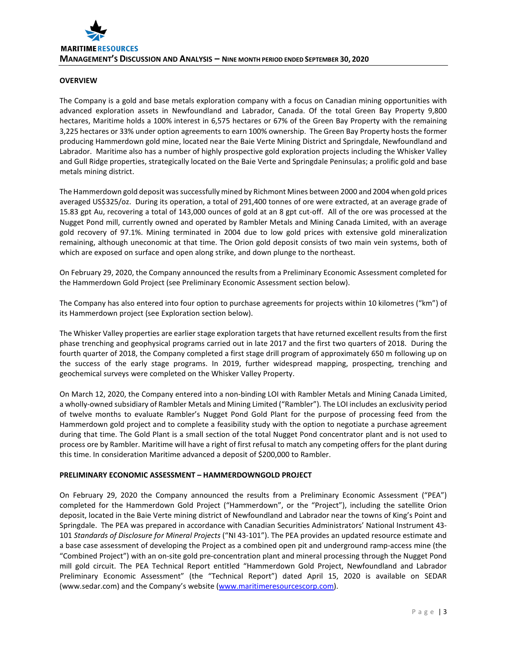# **OVERVIEW**

The Company is a gold and base metals exploration company with a focus on Canadian mining opportunities with advanced exploration assets in Newfoundland and Labrador, Canada. Of the total Green Bay Property 9,800 hectares, Maritime holds a 100% interest in 6,575 hectares or 67% of the Green Bay Property with the remaining 3,225 hectares or 33% under option agreements to earn 100% ownership. The Green Bay Property hosts the former producing Hammerdown gold mine, located near the Baie Verte Mining District and Springdale, Newfoundland and Labrador. Maritime also has a number of highly prospective gold exploration projects including the Whisker Valley and Gull Ridge properties, strategically located on the Baie Verte and Springdale Peninsulas; a prolific gold and base metals mining district.

The Hammerdown gold deposit was successfully mined by Richmont Mines between 2000 and 2004 when gold prices averaged US\$325/oz. During its operation, a total of 291,400 tonnes of ore were extracted, at an average grade of 15.83 gpt Au, recovering a total of 143,000 ounces of gold at an 8 gpt cut-off. All of the ore was processed at the Nugget Pond mill, currently owned and operated by Rambler Metals and Mining Canada Limited, with an average gold recovery of 97.1%. Mining terminated in 2004 due to low gold prices with extensive gold mineralization remaining, although uneconomic at that time. The Orion gold deposit consists of two main vein systems, both of which are exposed on surface and open along strike, and down plunge to the northeast.

On February 29, 2020, the Company announced the results from a Preliminary Economic Assessment completed for the Hammerdown Gold Project (see Preliminary Economic Assessment section below).

The Company has also entered into four option to purchase agreements for projects within 10 kilometres ("km") of its Hammerdown project (see Exploration section below).

The Whisker Valley properties are earlier stage exploration targets that have returned excellent results from the first phase trenching and geophysical programs carried out in late 2017 and the first two quarters of 2018. During the fourth quarter of 2018, the Company completed a first stage drill program of approximately 650 m following up on the success of the early stage programs. In 2019, further widespread mapping, prospecting, trenching and geochemical surveys were completed on the Whisker Valley Property.

On March 12, 2020, the Company entered into a non-binding LOI with Rambler Metals and Mining Canada Limited, a wholly-owned subsidiary of Rambler Metals and Mining Limited ("Rambler"). The LOI includes an exclusivity period of twelve months to evaluate Rambler's Nugget Pond Gold Plant for the purpose of processing feed from the Hammerdown gold project and to complete a feasibility study with the option to negotiate a purchase agreement during that time. The Gold Plant is a small section of the total Nugget Pond concentrator plant and is not used to process ore by Rambler. Maritime will have a right of first refusal to match any competing offers for the plant during this time. In consideration Maritime advanced a deposit of \$200,000 to Rambler.

# **PRELIMINARY ECONOMIC ASSESSMENT – HAMMERDOWNGOLD PROJECT**

On February 29, 2020 the Company announced the results from a Preliminary Economic Assessment ("PEA") completed for the Hammerdown Gold Project ("Hammerdown", or the "Project"), including the satellite Orion deposit, located in the Baie Verte mining district of Newfoundland and Labrador near the towns of King's Point and Springdale. The PEA was prepared in accordance with Canadian Securities Administrators' National Instrument 43- 101 *Standards of Disclosure for Mineral Projects* ("NI 43-101"). The PEA provides an updated resource estimate and a base case assessment of developing the Project as a combined open pit and underground ramp-access mine (the "Combined Project") with an on-site gold pre-concentration plant and mineral processing through the Nugget Pond mill gold circuit. The PEA Technical Report entitled "Hammerdown Gold Project, Newfoundland and Labrador Preliminary Economic Assessment" (the "Technical Report") dated April 15, 2020 is available on SEDAR (www.sedar.com) and the Company's website [\(www.maritimeresourcescorp.com\)](http://www.maritimegold.com/).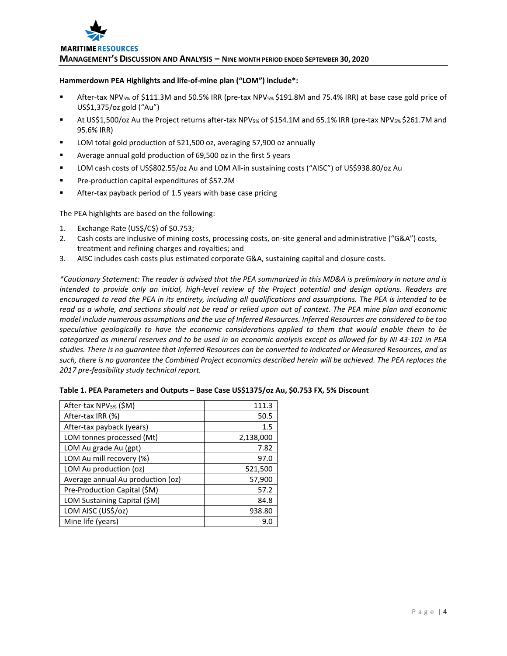

#### **Hammerdown PEA Highlights and life-of-mine plan ("LOM") include\*:**

- After-tax NPV5% of \$111.3M and 50.5% IRR (pre-tax NPV5% \$191.8M and 75.4% IRR) at base case gold price of US\$1,375/oz gold ("Au")
- At US\$1,500/oz Au the Project returns after-tax NPV5% of \$154.1M and 65.1% IRR (pre-tax NPV5% \$261.7M and 95.6% IRR)
- LOM total gold production of 521,500 oz, averaging 57,900 oz annually
- Average annual gold production of 69,500 oz in the first 5 years
- LOM cash costs of US\$802.55/oz Au and LOM All-in sustaining costs ("AISC") of US\$938.80/oz Au
- **Pre-production capital expenditures of \$57.2M**
- After-tax payback period of 1.5 years with base case pricing

The PEA highlights are based on the following:

- 1. Exchange Rate (US\$/C\$) of \$0.753;
- 2. Cash costs are inclusive of mining costs, processing costs, on-site general and administrative ("G&A") costs, treatment and refining charges and royalties; and
- 3. AISC includes cash costs plus estimated corporate G&A, sustaining capital and closure costs.

*\*Cautionary Statement: The reader is advised that the PEA summarized in this MD&A is preliminary in nature and is intended to provide only an initial, high-level review of the Project potential and design options. Readers are encouraged to read the PEA in its entirety, including all qualifications and assumptions. The PEA is intended to be read as a whole, and sections should not be read or relied upon out of context. The PEA mine plan and economic model include numerous assumptions and the use of Inferred Resources. Inferred Resources are considered to be too speculative geologically to have the economic considerations applied to them that would enable them to be categorized as mineral reserves and to be used in an economic analysis except as allowed for by NI 43-101 in PEA studies. There is no guarantee that Inferred Resources can be converted to Indicated or Measured Resources, and as such, there is no guarantee the Combined Project economics described herein will be achieved. The PEA replaces the 2017 pre-feasibility study technical report.*

| After-tax NPV <sub>5%</sub> (\$M) | 111.3     |
|-----------------------------------|-----------|
| After-tax IRR (%)                 | 50.5      |
| After-tax payback (years)         | 1.5       |
| LOM tonnes processed (Mt)         | 2,138,000 |
| LOM Au grade Au (gpt)             | 7.82      |
| LOM Au mill recovery (%)          | 97.0      |
| LOM Au production (oz)            | 521,500   |
| Average annual Au production (oz) | 57,900    |
| Pre-Production Capital (\$M)      | 57.2      |
| LOM Sustaining Capital (\$M)      | 84.8      |
| LOM AISC (US\$/oz)                | 938.80    |
| Mine life (years)                 | 9.0       |

|  | Table 1. PEA Parameters and Outputs - Base Case US\$1375/oz Au, \$0.753 FX, 5% Discount |
|--|-----------------------------------------------------------------------------------------|
|--|-----------------------------------------------------------------------------------------|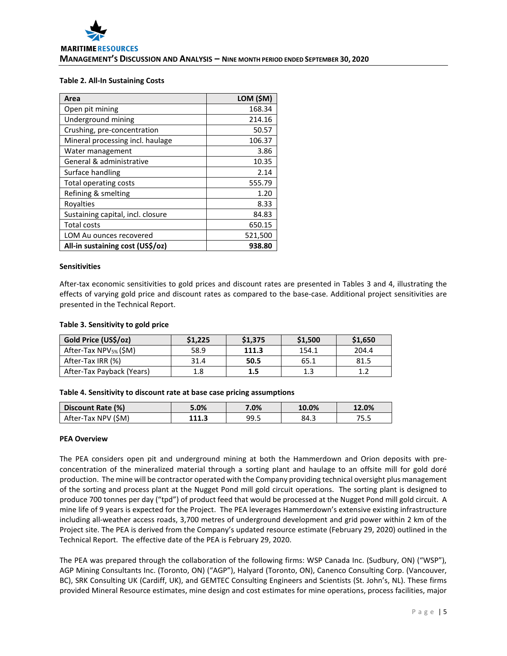## **Table 2. All-In Sustaining Costs**

| Area                              | LOM (\$M) |
|-----------------------------------|-----------|
| Open pit mining                   | 168.34    |
| Underground mining                | 214.16    |
| Crushing, pre-concentration       | 50.57     |
| Mineral processing incl. haulage  | 106.37    |
| Water management                  | 3.86      |
| General & administrative          | 10.35     |
| Surface handling                  | 2.14      |
| Total operating costs             | 555.79    |
| Refining & smelting               | 1.20      |
| Royalties                         | 8.33      |
| Sustaining capital, incl. closure | 84.83     |
| <b>Total costs</b>                | 650.15    |
| LOM Au ounces recovered           | 521,500   |
| All-in sustaining cost (US\$/oz)  | 938.80    |

#### **Sensitivities**

After-tax economic sensitivities to gold prices and discount rates are presented in Tables 3 and 4, illustrating the effects of varying gold price and discount rates as compared to the base-case. Additional project sensitivities are presented in the Technical Report.

#### **Table 3. Sensitivity to gold price**

| Gold Price (US\$/oz)              | \$1,225 | \$1,375 | \$1,500 | \$1,650 |
|-----------------------------------|---------|---------|---------|---------|
| After-Tax NPV <sub>5%</sub> (\$M) | 58.9    | 111.3   | 154.1   | 204.4   |
| After-Tax IRR (%)                 | 31.4    | 50.5    | 65.1    | 81.5    |
| After-Tax Payback (Years)         | 1.8     | 1.5     | 1.3     | 13      |

## **Table 4. Sensitivity to discount rate at base case pricing assumptions**

| Discount Rate (%)   | 5.0%  | 7.0% | 10.0% | 12.0% |
|---------------------|-------|------|-------|-------|
| After-Tax NPV (\$M) | 111.3 | 99.5 | ڌ.84  | 75.5  |

#### **PEA Overview**

The PEA considers open pit and underground mining at both the Hammerdown and Orion deposits with preconcentration of the mineralized material through a sorting plant and haulage to an offsite mill for gold doré production. The mine will be contractor operated with the Company providing technical oversight plus management of the sorting and process plant at the Nugget Pond mill gold circuit operations. The sorting plant is designed to produce 700 tonnes per day ("tpd") of product feed that would be processed at the Nugget Pond mill gold circuit. A mine life of 9 years is expected for the Project. The PEA leverages Hammerdown's extensive existing infrastructure including all-weather access roads, 3,700 metres of underground development and grid power within 2 km of the Project site. The PEA is derived from the Company's updated resource estimate (February 29, 2020) outlined in the Technical Report. The effective date of the PEA is February 29, 2020.

The PEA was prepared through the collaboration of the following firms: WSP Canada Inc. (Sudbury, ON) ("WSP"), AGP Mining Consultants Inc. (Toronto, ON) ("AGP"), Halyard (Toronto, ON), Canenco Consulting Corp. (Vancouver, BC), SRK Consulting UK (Cardiff, UK), and GEMTEC Consulting Engineers and Scientists (St. John's, NL). These firms provided Mineral Resource estimates, mine design and cost estimates for mine operations, process facilities, major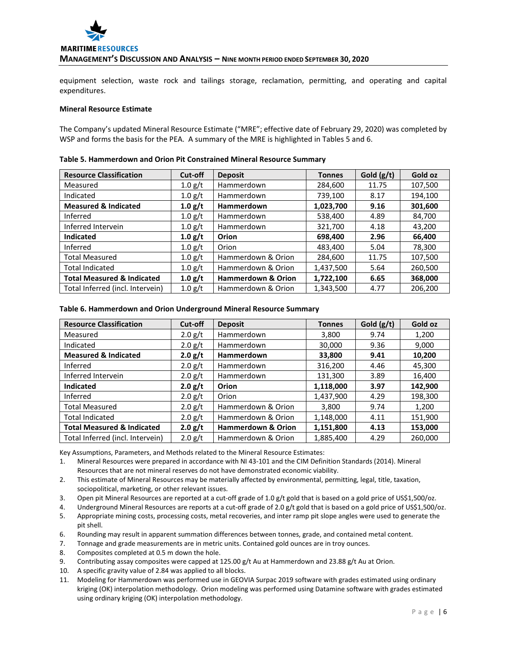

equipment selection, waste rock and tailings storage, reclamation, permitting, and operating and capital expenditures.

## **Mineral Resource Estimate**

The Company's updated Mineral Resource Estimate ("MRE"; effective date of February 29, 2020) was completed by WSP and forms the basis for the PEA. A summary of the MRE is highlighted in Tables 5 and 6.

| <b>Resource Classification</b>        | Cut-off | <b>Deposit</b>                | <b>Tonnes</b> | Gold $(g/t)$ | Gold oz |
|---------------------------------------|---------|-------------------------------|---------------|--------------|---------|
| Measured                              | 1.0 g/t | Hammerdown                    | 284,600       | 11.75        | 107,500 |
| Indicated                             | 1.0 g/t | Hammerdown                    | 739,100       | 8.17         | 194,100 |
| <b>Measured &amp; Indicated</b>       | 1.0 g/t | Hammerdown                    | 1,023,700     | 9.16         | 301,600 |
| Inferred                              | 1.0 g/t | Hammerdown                    | 538,400       | 4.89         | 84,700  |
| Inferred Intervein                    | 1.0 g/t | Hammerdown                    | 321,700       | 4.18         | 43,200  |
| Indicated                             | 1.0 g/t | Orion                         | 698,400       | 2.96         | 66,400  |
| Inferred                              | 1.0 g/t | Orion                         | 483,400       | 5.04         | 78,300  |
| <b>Total Measured</b>                 | 1.0 g/t | Hammerdown & Orion            | 284,600       | 11.75        | 107,500 |
| <b>Total Indicated</b>                | 1.0 g/t | Hammerdown & Orion            | 1,437,500     | 5.64         | 260,500 |
| <b>Total Measured &amp; Indicated</b> | 1.0 g/t | <b>Hammerdown &amp; Orion</b> | 1,722,100     | 6.65         | 368,000 |
| Total Inferred (incl. Intervein)      | 1.0 g/t | Hammerdown & Orion            | 1,343,500     | 4.77         | 206,200 |

#### **Table 5. Hammerdown and Orion Pit Constrained Mineral Resource Summary**

#### **Table 6. Hammerdown and Orion Underground Mineral Resource Summary**

| <b>Resource Classification</b>        | Cut-off   | <b>Deposit</b>                | <b>Tonnes</b> | Gold $(g/t)$ | Gold oz |
|---------------------------------------|-----------|-------------------------------|---------------|--------------|---------|
| Measured                              | $2.0$ g/t | Hammerdown                    | 3,800         | 9.74         | 1,200   |
| Indicated                             | 2.0 g/t   | <b>Hammerdown</b>             | 30,000        | 9.36         | 9,000   |
| <b>Measured &amp; Indicated</b>       | 2.0 g/t   | <b>Hammerdown</b>             | 33,800        | 9.41         | 10,200  |
| Inferred                              | 2.0 g/t   | Hammerdown                    | 316,200       | 4.46         | 45,300  |
| Inferred Intervein                    | $2.0$ g/t | Hammerdown                    | 131,300       | 3.89         | 16,400  |
| <b>Indicated</b>                      | 2.0 g/t   | Orion                         | 1,118,000     | 3.97         | 142,900 |
| Inferred                              | $2.0$ g/t | Orion                         | 1,437,900     | 4.29         | 198,300 |
| <b>Total Measured</b>                 | $2.0$ g/t | Hammerdown & Orion            | 3,800         | 9.74         | 1,200   |
| <b>Total Indicated</b>                | $2.0$ g/t | Hammerdown & Orion            | 1,148,000     | 4.11         | 151,900 |
| <b>Total Measured &amp; Indicated</b> | 2.0 g/t   | <b>Hammerdown &amp; Orion</b> | 1,151,800     | 4.13         | 153,000 |
| Total Inferred (incl. Intervein)      | $2.0$ g/t | Hammerdown & Orion            | 1,885,400     | 4.29         | 260,000 |

Key Assumptions, Parameters, and Methods related to the Mineral Resource Estimates:

- 1. Mineral Resources were prepared in accordance with NI 43-101 and the CIM Definition Standards (2014). Mineral Resources that are not mineral reserves do not have demonstrated economic viability.
- 2. This estimate of Mineral Resources may be materially affected by environmental, permitting, legal, title, taxation, sociopolitical, marketing, or other relevant issues.
- 3. Open pit Mineral Resources are reported at a cut-off grade of 1.0 g/t gold that is based on a gold price of US\$1,500/oz.
- 4. Underground Mineral Resources are reports at a cut-off grade of 2.0 g/t gold that is based on a gold price of US\$1,500/oz.
- 5. Appropriate mining costs, processing costs, metal recoveries, and inter ramp pit slope angles were used to generate the pit shell.
- 6. Rounding may result in apparent summation differences between tonnes, grade, and contained metal content.
- 7. Tonnage and grade measurements are in metric units. Contained gold ounces are in troy ounces.
- 8. Composites completed at 0.5 m down the hole.
- 9. Contributing assay composites were capped at 125.00 g/t Au at Hammerdown and 23.88 g/t Au at Orion.
- 10. A specific gravity value of 2.84 was applied to all blocks.
- 11. Modeling for Hammerdown was performed use in GEOVIA Surpac 2019 software with grades estimated using ordinary kriging (OK) interpolation methodology. Orion modeling was performed using Datamine software with grades estimated using ordinary kriging (OK) interpolation methodology.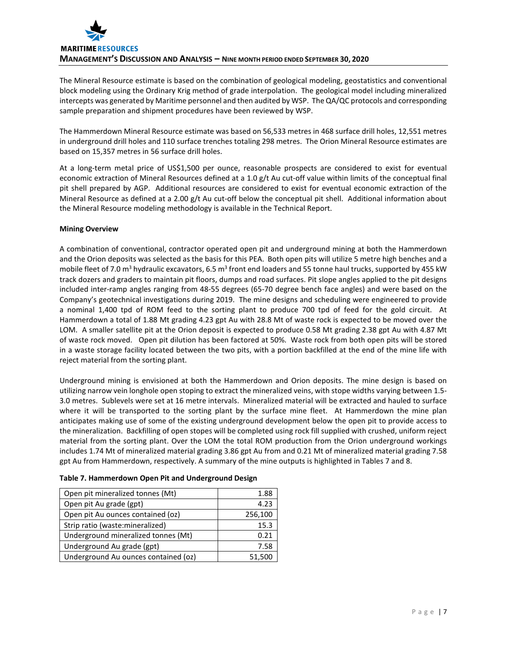

The Mineral Resource estimate is based on the combination of geological modeling, geostatistics and conventional block modeling using the Ordinary Krig method of grade interpolation. The geological model including mineralized intercepts was generated by Maritime personnel and then audited by WSP. The QA/QC protocols and corresponding sample preparation and shipment procedures have been reviewed by WSP.

The Hammerdown Mineral Resource estimate was based on 56,533 metres in 468 surface drill holes, 12,551 metres in underground drill holes and 110 surface trenches totaling 298 metres. The Orion Mineral Resource estimates are based on 15,357 metres in 56 surface drill holes.

At a long-term metal price of US\$1,500 per ounce, reasonable prospects are considered to exist for eventual economic extraction of Mineral Resources defined at a 1.0 g/t Au cut-off value within limits of the conceptual final pit shell prepared by AGP. Additional resources are considered to exist for eventual economic extraction of the Mineral Resource as defined at a 2.00 g/t Au cut-off below the conceptual pit shell. Additional information about the Mineral Resource modeling methodology is available in the Technical Report.

# **Mining Overview**

A combination of conventional, contractor operated open pit and underground mining at both the Hammerdown and the Orion deposits was selected as the basis for this PEA. Both open pits will utilize 5 metre high benches and a mobile fleet of 7.0 m<sup>3</sup> hydraulic excavators, 6.5 m<sup>3</sup> front end loaders and 55 tonne haul trucks, supported by 455 kW track dozers and graders to maintain pit floors, dumps and road surfaces. Pit slope angles applied to the pit designs included inter-ramp angles ranging from 48-55 degrees (65-70 degree bench face angles) and were based on the Company's geotechnical investigations during 2019. The mine designs and scheduling were engineered to provide a nominal 1,400 tpd of ROM feed to the sorting plant to produce 700 tpd of feed for the gold circuit. At Hammerdown a total of 1.88 Mt grading 4.23 gpt Au with 28.8 Mt of waste rock is expected to be moved over the LOM. A smaller satellite pit at the Orion deposit is expected to produce 0.58 Mt grading 2.38 gpt Au with 4.87 Mt of waste rock moved. Open pit dilution has been factored at 50%. Waste rock from both open pits will be stored in a waste storage facility located between the two pits, with a portion backfilled at the end of the mine life with reject material from the sorting plant.

Underground mining is envisioned at both the Hammerdown and Orion deposits. The mine design is based on utilizing narrow vein longhole open stoping to extract the mineralized veins, with stope widths varying between 1.5- 3.0 metres. Sublevels were set at 16 metre intervals. Mineralized material will be extracted and hauled to surface where it will be transported to the sorting plant by the surface mine fleet. At Hammerdown the mine plan anticipates making use of some of the existing underground development below the open pit to provide access to the mineralization. Backfilling of open stopes will be completed using rock fill supplied with crushed, uniform reject material from the sorting plant. Over the LOM the total ROM production from the Orion underground workings includes 1.74 Mt of mineralized material grading 3.86 gpt Au from and 0.21 Mt of mineralized material grading 7.58 gpt Au from Hammerdown, respectively. A summary of the mine outputs is highlighted in Tables 7 and 8.

| Open pit mineralized tonnes (Mt)     | 1.88    |
|--------------------------------------|---------|
| Open pit Au grade (gpt)              | 4.23    |
| Open pit Au ounces contained (oz)    | 256,100 |
| Strip ratio (waste: mineralized)     | 15.3    |
| Underground mineralized tonnes (Mt)  | 0.21    |
| Underground Au grade (gpt)           | 7.58    |
| Underground Au ounces contained (oz) | 51,500  |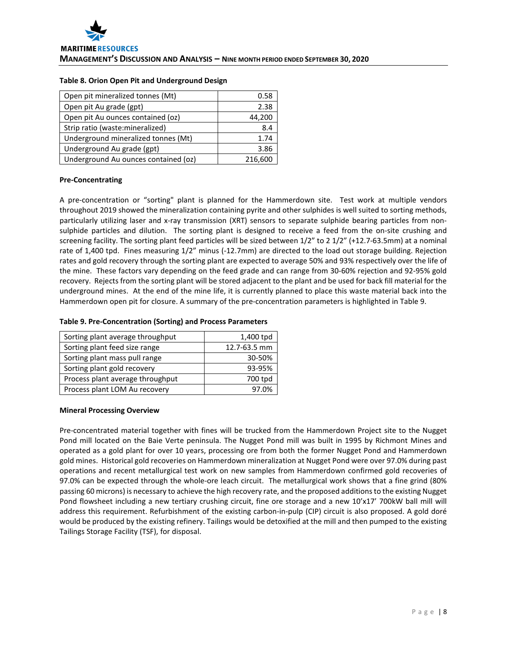#### **Table 8. Orion Open Pit and Underground Design**

| Open pit mineralized tonnes (Mt)     | 0.58    |
|--------------------------------------|---------|
| Open pit Au grade (gpt)              | 2.38    |
| Open pit Au ounces contained (oz)    | 44,200  |
| Strip ratio (waste: mineralized)     | 8.4     |
| Underground mineralized tonnes (Mt)  | 1.74    |
| Underground Au grade (gpt)           | 3.86    |
| Underground Au ounces contained (oz) | 216,600 |

## **Pre-Concentrating**

A pre-concentration or "sorting" plant is planned for the Hammerdown site. Test work at multiple vendors throughout 2019 showed the mineralization containing pyrite and other sulphides is well suited to sorting methods, particularly utilizing laser and x-ray transmission (XRT) sensors to separate sulphide bearing particles from nonsulphide particles and dilution. The sorting plant is designed to receive a feed from the on-site crushing and screening facility. The sorting plant feed particles will be sized between 1/2" to 2 1/2" (+12.7-63.5mm) at a nominal rate of 1,400 tpd. Fines measuring 1/2" minus (-12.7mm) are directed to the load out storage building. Rejection rates and gold recovery through the sorting plant are expected to average 50% and 93% respectively over the life of the mine. These factors vary depending on the feed grade and can range from 30-60% rejection and 92-95% gold recovery. Rejects from the sorting plant will be stored adjacent to the plant and be used for back fill material for the underground mines. At the end of the mine life, it is currently planned to place this waste material back into the Hammerdown open pit for closure. A summary of the pre-concentration parameters is highlighted in Table 9.

## **Table 9. Pre-Concentration (Sorting) and Process Parameters**

| Sorting plant average throughput | 1,400 tpd    |
|----------------------------------|--------------|
| Sorting plant feed size range    | 12.7-63.5 mm |
| Sorting plant mass pull range    | 30-50%       |
| Sorting plant gold recovery      | 93-95%       |
| Process plant average throughput | 700 tpd      |
| Process plant LOM Au recovery    | 7.0%         |

## **Mineral Processing Overview**

Pre-concentrated material together with fines will be trucked from the Hammerdown Project site to the Nugget Pond mill located on the Baie Verte peninsula. The Nugget Pond mill was built in 1995 by Richmont Mines and operated as a gold plant for over 10 years, processing ore from both the former Nugget Pond and Hammerdown gold mines. Historical gold recoveries on Hammerdown mineralization at Nugget Pond were over 97.0% during past operations and recent metallurgical test work on new samples from Hammerdown confirmed gold recoveries of 97.0% can be expected through the whole-ore leach circuit. The metallurgical work shows that a fine grind (80% passing 60 microns) is necessary to achieve the high recovery rate, and the proposed additions to the existing Nugget Pond flowsheet including a new tertiary crushing circuit, fine ore storage and a new 10'x17' 700kW ball mill will address this requirement. Refurbishment of the existing carbon-in-pulp (CIP) circuit is also proposed. A gold doré would be produced by the existing refinery. Tailings would be detoxified at the mill and then pumped to the existing Tailings Storage Facility (TSF), for disposal.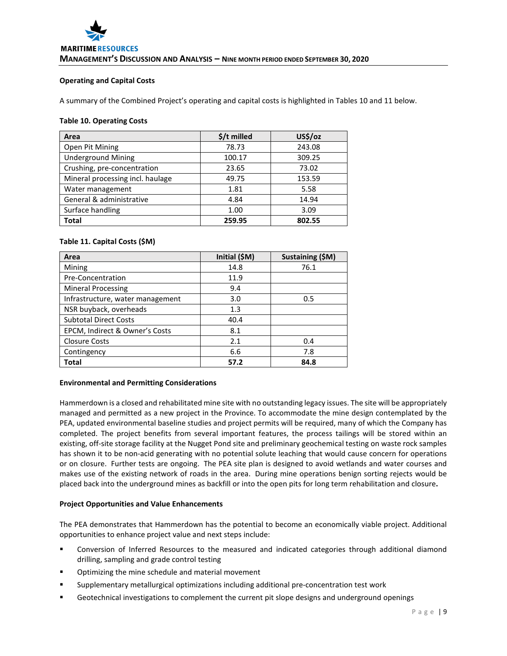## **Operating and Capital Costs**

A summary of the Combined Project's operating and capital costs is highlighted in Tables 10 and 11 below.

#### **Table 10. Operating Costs**

| Area                             | \$/t milled | US\$/oz |
|----------------------------------|-------------|---------|
| Open Pit Mining                  | 78.73       | 243.08  |
| <b>Underground Mining</b>        | 100.17      | 309.25  |
| Crushing, pre-concentration      | 23.65       | 73.02   |
| Mineral processing incl. haulage | 49.75       | 153.59  |
| Water management                 | 1.81        | 5.58    |
| General & administrative         | 4.84        | 14.94   |
| Surface handling                 | 1.00        | 3.09    |
| <b>Total</b>                     | 259.95      | 802.55  |

# **Table 11. Capital Costs (\$M)**

| Area                             | Initial (\$M) | Sustaining (\$M) |
|----------------------------------|---------------|------------------|
| Mining                           | 14.8          | 76.1             |
| Pre-Concentration                | 11.9          |                  |
| <b>Mineral Processing</b>        | 9.4           |                  |
| Infrastructure, water management | 3.0           | 0.5              |
| NSR buyback, overheads           | 1.3           |                  |
| <b>Subtotal Direct Costs</b>     | 40.4          |                  |
| EPCM, Indirect & Owner's Costs   | 8.1           |                  |
| <b>Closure Costs</b>             | 2.1           | 0.4              |
| Contingency                      | 6.6           | 7.8              |
| Total                            | 57.2          | 84.8             |

## **Environmental and Permitting Considerations**

Hammerdown is a closed and rehabilitated mine site with no outstanding legacy issues. The site will be appropriately managed and permitted as a new project in the Province. To accommodate the mine design contemplated by the PEA, updated environmental baseline studies and project permits will be required, many of which the Company has completed. The project benefits from several important features, the process tailings will be stored within an existing, off-site storage facility at the Nugget Pond site and preliminary geochemical testing on waste rock samples has shown it to be non-acid generating with no potential solute leaching that would cause concern for operations or on closure. Further tests are ongoing. The PEA site plan is designed to avoid wetlands and water courses and makes use of the existing network of roads in the area. During mine operations benign sorting rejects would be placed back into the underground mines as backfill or into the open pits for long term rehabilitation and closure**.** 

## **Project Opportunities and Value Enhancements**

The PEA demonstrates that Hammerdown has the potential to become an economically viable project. Additional opportunities to enhance project value and next steps include:

- Conversion of Inferred Resources to the measured and indicated categories through additional diamond drilling, sampling and grade control testing
- Optimizing the mine schedule and material movement
- Supplementary metallurgical optimizations including additional pre-concentration test work
- Geotechnical investigations to complement the current pit slope designs and underground openings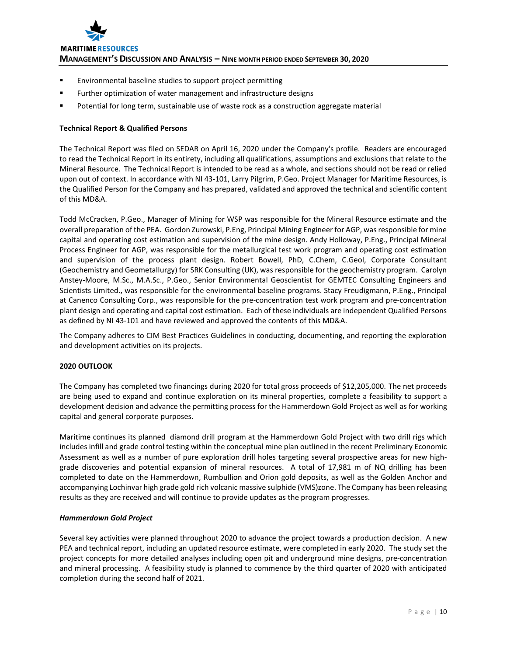

- **Environmental baseline studies to support project permitting**
- **Further optimization of water management and infrastructure designs**
- Potential for long term, sustainable use of waste rock as a construction aggregate material

# **Technical Report & Qualified Persons**

The Technical Report was filed on SEDAR on April 16, 2020 under the Company's profile. Readers are encouraged to read the Technical Report in its entirety, including all qualifications, assumptions and exclusions that relate to the Mineral Resource. The Technical Report is intended to be read as a whole, and sections should not be read or relied upon out of context. In accordance with NI 43-101, Larry Pilgrim, P.Geo. Project Manager for Maritime Resources, is the Qualified Person for the Company and has prepared, validated and approved the technical and scientific content of this MD&A.

Todd McCracken, P.Geo., Manager of Mining for WSP was responsible for the Mineral Resource estimate and the overall preparation of the PEA. Gordon Zurowski, P.Eng, Principal Mining Engineer for AGP, wasresponsible for mine capital and operating cost estimation and supervision of the mine design. Andy Holloway, P.Eng., Principal Mineral Process Engineer for AGP, was responsible for the metallurgical test work program and operating cost estimation and supervision of the process plant design. Robert Bowell, PhD, C.Chem, C.Geol, Corporate Consultant (Geochemistry and Geometallurgy) for SRK Consulting (UK), was responsible for the geochemistry program. Carolyn Anstey-Moore, M.Sc., M.A.Sc., P.Geo., Senior Environmental Geoscientist for GEMTEC Consulting Engineers and Scientists Limited., was responsible for the environmental baseline programs. Stacy Freudigmann, P.Eng., Principal at Canenco Consulting Corp., was responsible for the pre-concentration test work program and pre-concentration plant design and operating and capital cost estimation. Each of these individuals are independent Qualified Persons as defined by NI 43-101 and have reviewed and approved the contents of this MD&A.

The Company adheres to CIM Best Practices Guidelines in conducting, documenting, and reporting the exploration and development activities on its projects.

## **2020 OUTLOOK**

The Company has completed two financings during 2020 for total gross proceeds of \$12,205,000. The net proceeds are being used to expand and continue exploration on its mineral properties, complete a feasibility to support a development decision and advance the permitting process for the Hammerdown Gold Project as well as for working capital and general corporate purposes.

Maritime continues its planned diamond drill program at the Hammerdown Gold Project with two drill rigs which includes infill and grade control testing within the conceptual mine plan outlined in the recent Preliminary Economic Assessment as well as a number of pure exploration drill holes targeting several prospective areas for new highgrade discoveries and potential expansion of mineral resources. A total of 17,981 m of NQ drilling has been completed to date on the Hammerdown, Rumbullion and Orion gold deposits, as well as the Golden Anchor and accompanying Lochinvar high grade gold rich volcanic massive sulphide (VMS)zone. The Company has been releasing results as they are received and will continue to provide updates as the program progresses.

## *Hammerdown Gold Project*

Several key activities were planned throughout 2020 to advance the project towards a production decision. A new PEA and technical report, including an updated resource estimate, were completed in early 2020. The study set the project concepts for more detailed analyses including open pit and underground mine designs, pre-concentration and mineral processing. A feasibility study is planned to commence by the third quarter of 2020 with anticipated completion during the second half of 2021.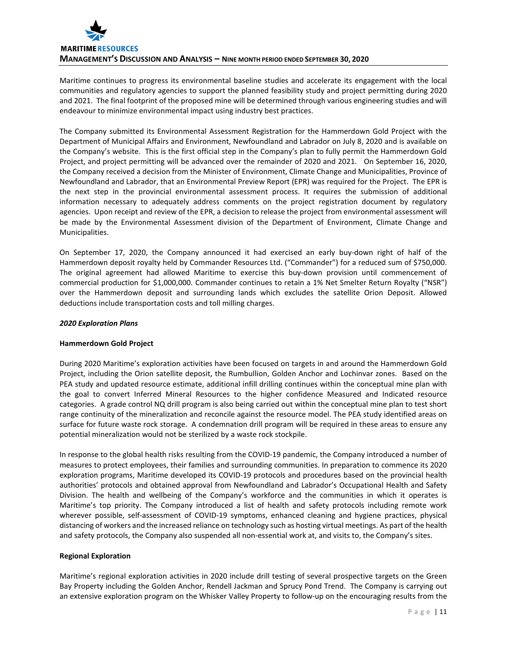

Maritime continues to progress its environmental baseline studies and accelerate its engagement with the local communities and regulatory agencies to support the planned feasibility study and project permitting during 2020 and 2021. The final footprint of the proposed mine will be determined through various engineering studies and will endeavour to minimize environmental impact using industry best practices.

The Company submitted its Environmental Assessment Registration for the Hammerdown Gold Project with the Department of Municipal Affairs and Environment, Newfoundland and Labrador on July 8, 2020 and is available on the Company's website. This is the first official step in the Company's plan to fully permit the Hammerdown Gold Project, and project permitting will be advanced over the remainder of 2020 and 2021. On September 16, 2020, the Company received a decision from the Minister of Environment, Climate Change and Municipalities, Province of Newfoundland and Labrador, that an Environmental Preview Report (EPR) was required for the Project. The EPR is the next step in the provincial environmental assessment process. It requires the submission of additional information necessary to adequately address comments on the project registration document by regulatory agencies. Upon receipt and review of the EPR, a decision to release the project from environmental assessment will be made by the Environmental Assessment division of the Department of Environment, Climate Change and Municipalities.

On September 17, 2020, the Company announced it had exercised an early buy-down right of half of the Hammerdown deposit royalty held by Commander Resources Ltd. ("Commander") for a reduced sum of \$750,000. The original agreement had allowed Maritime to exercise this buy-down provision until commencement of commercial production for \$1,000,000. Commander continues to retain a 1% Net Smelter Return Royalty ("NSR") over the Hammerdown deposit and surrounding lands which excludes the satellite Orion Deposit. Allowed deductions include transportation costs and toll milling charges.

# *2020 Exploration Plans*

## **Hammerdown Gold Project**

During 2020 Maritime's exploration activities have been focused on targets in and around the Hammerdown Gold Project, including the Orion satellite deposit, the Rumbullion, Golden Anchor and Lochinvar zones. Based on the PEA study and updated resource estimate, additional infill drilling continues within the conceptual mine plan with the goal to convert Inferred Mineral Resources to the higher confidence Measured and Indicated resource categories. A grade control NQ drill program is also being carried out within the conceptual mine plan to test short range continuity of the mineralization and reconcile against the resource model. The PEA study identified areas on surface for future waste rock storage. A condemnation drill program will be required in these areas to ensure any potential mineralization would not be sterilized by a waste rock stockpile.

In response to the global health risks resulting from the COVID-19 pandemic, the Company introduced a number of measures to protect employees, their families and surrounding communities. In preparation to commence its 2020 exploration programs, Maritime developed its COVID-19 protocols and procedures based on the provincial health authorities' protocols and obtained approval from Newfoundland and Labrador's Occupational Health and Safety Division. The health and wellbeing of the Company's workforce and the communities in which it operates is Maritime's top priority. The Company introduced a list of health and safety protocols including remote work wherever possible, self-assessment of COVID-19 symptoms, enhanced cleaning and hygiene practices, physical distancing of workers and the increased reliance on technology such as hosting virtual meetings. As part of the health and safety protocols, the Company also suspended all non-essential work at, and visits to, the Company's sites.

## **Regional Exploration**

Maritime's regional exploration activities in 2020 include drill testing of several prospective targets on the Green Bay Property including the Golden Anchor, Rendell Jackman and Sprucy Pond Trend. The Company is carrying out an extensive exploration program on the Whisker Valley Property to follow-up on the encouraging results from the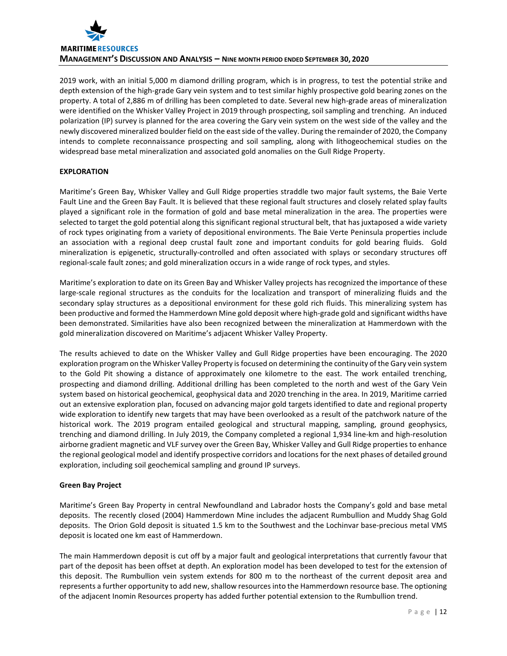

2019 work, with an initial 5,000 m diamond drilling program, which is in progress, to test the potential strike and depth extension of the high-grade Gary vein system and to test similar highly prospective gold bearing zones on the property. A total of 2,886 m of drilling has been completed to date. Several new high-grade areas of mineralization were identified on the Whisker Valley Project in 2019 through prospecting, soil sampling and trenching. An induced polarization (IP) survey is planned for the area covering the Gary vein system on the west side of the valley and the newly discovered mineralized boulder field on the east side of the valley. During the remainder of 2020, the Company intends to complete reconnaissance prospecting and soil sampling, along with lithogeochemical studies on the widespread base metal mineralization and associated gold anomalies on the Gull Ridge Property.

# **EXPLORATION**

Maritime's Green Bay, Whisker Valley and Gull Ridge properties straddle two major fault systems, the Baie Verte Fault Line and the Green Bay Fault. It is believed that these regional fault structures and closely related splay faults played a significant role in the formation of gold and base metal mineralization in the area. The properties were selected to target the gold potential along this significant regional structural belt, that has juxtaposed a wide variety of rock types originating from a variety of depositional environments. The Baie Verte Peninsula properties include an association with a regional deep crustal fault zone and important conduits for gold bearing fluids. Gold mineralization is epigenetic, structurally-controlled and often associated with splays or secondary structures off regional-scale fault zones; and gold mineralization occurs in a wide range of rock types, and styles.

Maritime's exploration to date on its Green Bay and Whisker Valley projects has recognized the importance of these large-scale regional structures as the conduits for the localization and transport of mineralizing fluids and the secondary splay structures as a depositional environment for these gold rich fluids. This mineralizing system has been productive and formed the Hammerdown Mine gold deposit where high-grade gold and significant widths have been demonstrated. Similarities have also been recognized between the mineralization at Hammerdown with the gold mineralization discovered on Maritime's adjacent Whisker Valley Property.

The results achieved to date on the Whisker Valley and Gull Ridge properties have been encouraging. The 2020 exploration program on the Whisker Valley Property is focused on determining the continuity of the Gary vein system to the Gold Pit showing a distance of approximately one kilometre to the east. The work entailed trenching, prospecting and diamond drilling. Additional drilling has been completed to the north and west of the Gary Vein system based on historical geochemical, geophysical data and 2020 trenching in the area. In 2019, Maritime carried out an extensive exploration plan, focused on advancing major gold targets identified to date and regional property wide exploration to identify new targets that may have been overlooked as a result of the patchwork nature of the historical work. The 2019 program entailed geological and structural mapping, sampling, ground geophysics, trenching and diamond drilling. In July 2019, the Company completed a regional 1,934 line-km and high-resolution airborne gradient magnetic and VLF survey over the Green Bay, Whisker Valley and Gull Ridge properties to enhance the regional geological model and identify prospective corridors and locations for the next phases of detailed ground exploration, including soil geochemical sampling and ground IP surveys.

## **Green Bay Project**

Maritime's Green Bay Property in central Newfoundland and Labrador hosts the Company's gold and base metal deposits. The recently closed (2004) Hammerdown Mine includes the adjacent Rumbullion and Muddy Shag Gold deposits. The Orion Gold deposit is situated 1.5 km to the Southwest and the Lochinvar base-precious metal VMS deposit is located one km east of Hammerdown.

The main Hammerdown deposit is cut off by a major fault and geological interpretations that currently favour that part of the deposit has been offset at depth. An exploration model has been developed to test for the extension of this deposit. The Rumbullion vein system extends for 800 m to the northeast of the current deposit area and represents a further opportunity to add new, shallow resources into the Hammerdown resource base. The optioning of the adjacent Inomin Resources property has added further potential extension to the Rumbullion trend.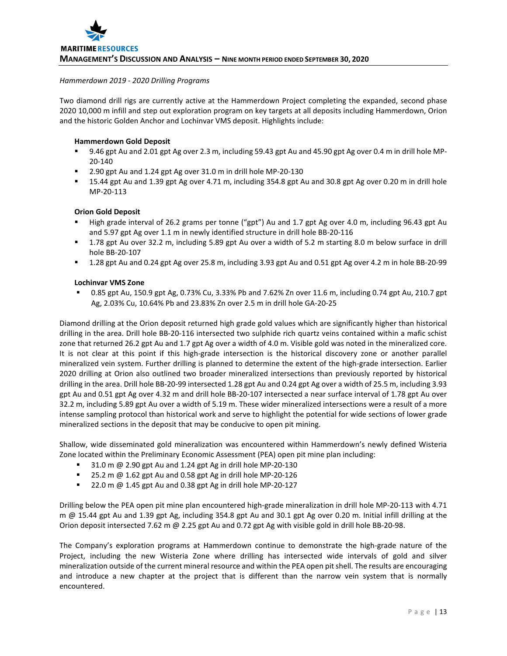#### *Hammerdown 2019 - 2020 Drilling Programs*

Two diamond drill rigs are currently active at the Hammerdown Project completing the expanded, second phase 2020 10,000 m infill and step out exploration program on key targets at all deposits including Hammerdown, Orion and the historic Golden Anchor and Lochinvar VMS deposit. Highlights include:

## **Hammerdown Gold Deposit**

- 9.46 gpt Au and 2.01 gpt Ag over 2.3 m, including 59.43 gpt Au and 45.90 gpt Ag over 0.4 m in drill hole MP-20-140
- 2.90 gpt Au and 1.24 gpt Ag over 31.0 m in drill hole MP-20-130
- 15.44 gpt Au and 1.39 gpt Ag over 4.71 m, including 354.8 gpt Au and 30.8 gpt Ag over 0.20 m in drill hole MP-20-113

## **Orion Gold Deposit**

- High grade interval of 26.2 grams per tonne ("gpt") Au and 1.7 gpt Ag over 4.0 m, including 96.43 gpt Au and 5.97 gpt Ag over 1.1 m in newly identified structure in drill hole BB-20-116
- 1.78 gpt Au over 32.2 m, including 5.89 gpt Au over a width of 5.2 m starting 8.0 m below surface in drill hole BB-20-107
- 1.28 gpt Au and 0.24 gpt Ag over 25.8 m, including 3.93 gpt Au and 0.51 gpt Ag over 4.2 m in hole BB-20-99

## **Lochinvar VMS Zone**

 0.85 gpt Au, 150.9 gpt Ag, 0.73% Cu, 3.33% Pb and 7.62% Zn over 11.6 m, including 0.74 gpt Au, 210.7 gpt Ag, 2.03% Cu, 10.64% Pb and 23.83% Zn over 2.5 m in drill hole GA-20-25

Diamond drilling at the Orion deposit returned high grade gold values which are significantly higher than historical drilling in the area. Drill hole BB-20-116 intersected two sulphide rich quartz veins contained within a mafic schist zone that returned 26.2 gpt Au and 1.7 gpt Ag over a width of 4.0 m. Visible gold was noted in the mineralized core. It is not clear at this point if this high-grade intersection is the historical discovery zone or another parallel mineralized vein system. Further drilling is planned to determine the extent of the high-grade intersection. Earlier 2020 drilling at Orion also outlined two broader mineralized intersections than previously reported by historical drilling in the area. Drill hole BB-20-99 intersected 1.28 gpt Au and 0.24 gpt Ag over a width of 25.5 m, including 3.93 gpt Au and 0.51 gpt Ag over 4.32 m and drill hole BB-20-107 intersected a near surface interval of 1.78 gpt Au over 32.2 m, including 5.89 gpt Au over a width of 5.19 m. These wider mineralized intersections were a result of a more intense sampling protocol than historical work and serve to highlight the potential for wide sections of lower grade mineralized sections in the deposit that may be conducive to open pit mining.

Shallow, wide disseminated gold mineralization was encountered within Hammerdown's newly defined Wisteria Zone located within the Preliminary Economic Assessment (PEA) open pit mine plan including:

- 31.0 m @ 2.90 gpt Au and 1.24 gpt Ag in drill hole MP-20-130
- $\blacksquare$  25.2 m @ 1.62 gpt Au and 0.58 gpt Ag in drill hole MP-20-126
- $\blacksquare$  22.0 m @ 1.45 gpt Au and 0.38 gpt Ag in drill hole MP-20-127

Drilling below the PEA open pit mine plan encountered high-grade mineralization in drill hole MP-20-113 with 4.71 m @ 15.44 gpt Au and 1.39 gpt Ag, including 354.8 gpt Au and 30.1 gpt Ag over 0.20 m. Initial infill drilling at the Orion deposit intersected 7.62 m @ 2.25 gpt Au and 0.72 gpt Ag with visible gold in drill hole BB-20-98.

The Company's exploration programs at Hammerdown continue to demonstrate the high-grade nature of the Project, including the new Wisteria Zone where drilling has intersected wide intervals of gold and silver mineralization outside of the current mineral resource and within the PEA open pitshell. The results are encouraging and introduce a new chapter at the project that is different than the narrow vein system that is normally encountered.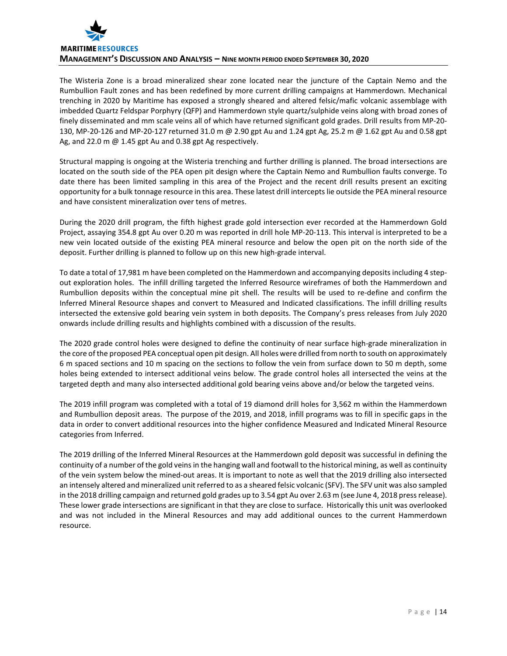

The Wisteria Zone is a broad mineralized shear zone located near the juncture of the Captain Nemo and the Rumbullion Fault zones and has been redefined by more current drilling campaigns at Hammerdown. Mechanical trenching in 2020 by Maritime has exposed a strongly sheared and altered felsic/mafic volcanic assemblage with imbedded Quartz Feldspar Porphyry (QFP) and Hammerdown style quartz/sulphide veins along with broad zones of finely disseminated and mm scale veins all of which have returned significant gold grades. Drill results from MP-20- 130, MP-20-126 and MP-20-127 returned 31.0 m @ 2.90 gpt Au and 1.24 gpt Ag, 25.2 m @ 1.62 gpt Au and 0.58 gpt Ag, and 22.0 m @ 1.45 gpt Au and 0.38 gpt Ag respectively.

Structural mapping is ongoing at the Wisteria trenching and further drilling is planned. The broad intersections are located on the south side of the PEA open pit design where the Captain Nemo and Rumbullion faults converge. To date there has been limited sampling in this area of the Project and the recent drill results present an exciting opportunity for a bulk tonnage resource in this area. These latest drill intercepts lie outside the PEA mineral resource and have consistent mineralization over tens of metres.

During the 2020 drill program, the fifth highest grade gold intersection ever recorded at the Hammerdown Gold Project, assaying 354.8 gpt Au over 0.20 m was reported in drill hole MP-20-113. This interval is interpreted to be a new vein located outside of the existing PEA mineral resource and below the open pit on the north side of the deposit. Further drilling is planned to follow up on this new high-grade interval.

To date a total of 17,981 m have been completed on the Hammerdown and accompanying deposits including 4 stepout exploration holes. The infill drilling targeted the Inferred Resource wireframes of both the Hammerdown and Rumbullion deposits within the conceptual mine pit shell. The results will be used to re-define and confirm the Inferred Mineral Resource shapes and convert to Measured and Indicated classifications. The infill drilling results intersected the extensive gold bearing vein system in both deposits. The Company's press releases from July 2020 onwards include drilling results and highlights combined with a discussion of the results.

The 2020 grade control holes were designed to define the continuity of near surface high-grade mineralization in the core of the proposed PEA conceptual open pit design. All holes were drilled from north to south on approximately 6 m spaced sections and 10 m spacing on the sections to follow the vein from surface down to 50 m depth, some holes being extended to intersect additional veins below. The grade control holes all intersected the veins at the targeted depth and many also intersected additional gold bearing veins above and/or below the targeted veins.

The 2019 infill program was completed with a total of 19 diamond drill holes for 3,562 m within the Hammerdown and Rumbullion deposit areas. The purpose of the 2019, and 2018, infill programs was to fill in specific gaps in the data in order to convert additional resources into the higher confidence Measured and Indicated Mineral Resource categories from Inferred.

The 2019 drilling of the Inferred Mineral Resources at the Hammerdown gold deposit was successful in defining the continuity of a number of the gold veins in the hanging wall and footwall to the historical mining, as well as continuity of the vein system below the mined-out areas. It is important to note as well that the 2019 drilling also intersected an intensely altered and mineralized unit referred to as a sheared felsic volcanic (SFV). The SFV unit was also sampled in the 2018 drilling campaign and returned gold grades up to 3.54 gpt Au over 2.63 m (see June 4, 2018 press release). These lower grade intersections are significant in that they are close to surface. Historically this unit was overlooked and was not included in the Mineral Resources and may add additional ounces to the current Hammerdown resource.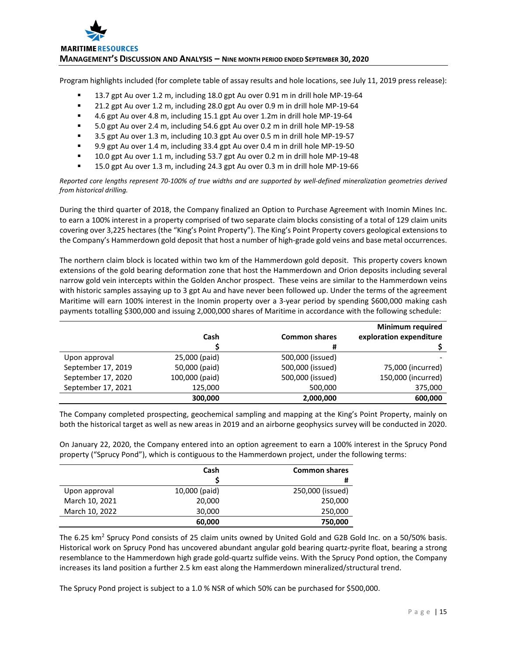

Program highlights included (for complete table of assay results and hole locations, see July 11, 2019 press release):

- <sup>1</sup> 13.7 gpt Au over 1.2 m, including 18.0 gpt Au over 0.91 m in drill hole MP-19-64
- **21.2 gpt Au over 1.2 m, including 28.0 gpt Au over 0.9 m in drill hole MP-19-64**
- 4.6 gpt Au over 4.8 m, including 15.1 gpt Au over 1.2m in drill hole MP-19-64
- 5.0 gpt Au over 2.4 m, including 54.6 gpt Au over 0.2 m in drill hole MP-19-58
- 3.5 gpt Au over 1.3 m, including 10.3 gpt Au over 0.5 m in drill hole MP-19-57
- 9.9 gpt Au over 1.4 m, including 33.4 gpt Au over 0.4 m in drill hole MP-19-50
- 10.0 gpt Au over 1.1 m, including 53.7 gpt Au over 0.2 m in drill hole MP-19-48
- 15.0 gpt Au over 1.3 m, including 24.3 gpt Au over 0.3 m in drill hole MP-19-66

*Reported core lengths represent 70-100% of true widths and are supported by well-defined mineralization geometries derived from historical drilling.*

During the third quarter of 2018, the Company finalized an Option to Purchase Agreement with Inomin Mines Inc. to earn a 100% interest in a property comprised of two separate claim blocks consisting of a total of 129 claim units covering over 3,225 hectares (the "King's Point Property"). The King's Point Property covers geological extensions to the Company's Hammerdown gold deposit that host a number of high-grade gold veins and base metal occurrences.

The northern claim block is located within two km of the Hammerdown gold deposit. This property covers known extensions of the gold bearing deformation zone that host the Hammerdown and Orion deposits including several narrow gold vein intercepts within the Golden Anchor prospect. These veins are similar to the Hammerdown veins with historic samples assaying up to 3 gpt Au and have never been followed up. Under the terms of the agreement Maritime will earn 100% interest in the Inomin property over a 3-year period by spending \$600,000 making cash payments totalling \$300,000 and issuing 2,000,000 shares of Maritime in accordance with the following schedule:

|                    |                |                      | <b>Minimum required</b> |
|--------------------|----------------|----------------------|-------------------------|
|                    | Cash           | <b>Common shares</b> | exploration expenditure |
|                    |                | #                    |                         |
| Upon approval      | 25,000 (paid)  | 500,000 (issued)     |                         |
| September 17, 2019 | 50,000 (paid)  | 500,000 (issued)     | 75,000 (incurred)       |
| September 17, 2020 | 100,000 (paid) | 500,000 (issued)     | 150,000 (incurred)      |
| September 17, 2021 | 125,000        | 500,000              | 375,000                 |
|                    | 300,000        | 2,000,000            | 600,000                 |

The Company completed prospecting, geochemical sampling and mapping at the King's Point Property, mainly on both the historical target as well as new areas in 2019 and an airborne geophysics survey will be conducted in 2020.

On January 22, 2020, the Company entered into an option agreement to earn a 100% interest in the Sprucy Pond property ("Sprucy Pond"), which is contiguous to the Hammerdown project, under the following terms:

|                | Cash          | <b>Common shares</b> |
|----------------|---------------|----------------------|
|                |               | #                    |
| Upon approval  | 10,000 (paid) | 250,000 (issued)     |
| March 10, 2021 | 20,000        | 250,000              |
| March 10, 2022 | 30,000        | 250,000              |
|                | 60,000        | 750,000              |

The 6.25 km<sup>2</sup> Sprucy Pond consists of 25 claim units owned by United Gold and G2B Gold Inc. on a 50/50% basis. Historical work on Sprucy Pond has uncovered abundant angular gold bearing quartz-pyrite float, bearing a strong resemblance to the Hammerdown high grade gold-quartz sulfide veins. With the Sprucy Pond option, the Company increases its land position a further 2.5 km east along the Hammerdown mineralized/structural trend.

The Sprucy Pond project is subject to a 1.0 % NSR of which 50% can be purchased for \$500,000.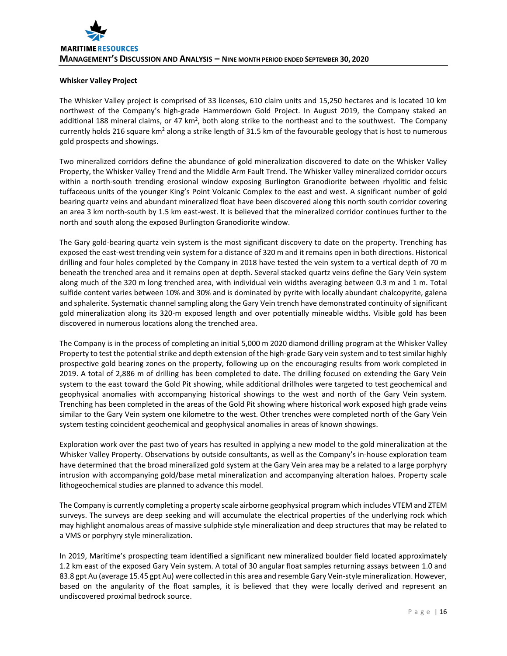# **Whisker Valley Project**

The Whisker Valley project is comprised of 33 licenses, 610 claim units and 15,250 hectares and is located 10 km northwest of the Company's high-grade Hammerdown Gold Project. In August 2019, the Company staked an additional 188 mineral claims, or 47 km<sup>2</sup>, both along strike to the northeast and to the southwest. The Company currently holds 216 square km<sup>2</sup> along a strike length of 31.5 km of the favourable geology that is host to numerous gold prospects and showings.

Two mineralized corridors define the abundance of gold mineralization discovered to date on the Whisker Valley Property, the Whisker Valley Trend and the Middle Arm Fault Trend. The Whisker Valley mineralized corridor occurs within a north-south trending erosional window exposing Burlington Granodiorite between rhyolitic and felsic tuffaceous units of the younger King's Point Volcanic Complex to the east and west. A significant number of gold bearing quartz veins and abundant mineralized float have been discovered along this north south corridor covering an area 3 km north-south by 1.5 km east-west. It is believed that the mineralized corridor continues further to the north and south along the exposed Burlington Granodiorite window.

The Gary gold-bearing quartz vein system is the most significant discovery to date on the property. Trenching has exposed the east-west trending vein system for a distance of 320 m and it remains open in both directions. Historical drilling and four holes completed by the Company in 2018 have tested the vein system to a vertical depth of 70 m beneath the trenched area and it remains open at depth. Several stacked quartz veins define the Gary Vein system along much of the 320 m long trenched area, with individual vein widths averaging between 0.3 m and 1 m. Total sulfide content varies between 10% and 30% and is dominated by pyrite with locally abundant chalcopyrite, galena and sphalerite. Systematic channel sampling along the Gary Vein trench have demonstrated continuity of significant gold mineralization along its 320-m exposed length and over potentially mineable widths. Visible gold has been discovered in numerous locations along the trenched area.

The Company is in the process of completing an initial 5,000 m 2020 diamond drilling program at the Whisker Valley Property to test the potential strike and depth extension of the high-grade Gary vein system and to test similar highly prospective gold bearing zones on the property, following up on the encouraging results from work completed in 2019. A total of 2,886 m of drilling has been completed to date. The drilling focused on extending the Gary Vein system to the east toward the Gold Pit showing, while additional drillholes were targeted to test geochemical and geophysical anomalies with accompanying historical showings to the west and north of the Gary Vein system. Trenching has been completed in the areas of the Gold Pit showing where historical work exposed high grade veins similar to the Gary Vein system one kilometre to the west. Other trenches were completed north of the Gary Vein system testing coincident geochemical and geophysical anomalies in areas of known showings.

Exploration work over the past two of years has resulted in applying a new model to the gold mineralization at the Whisker Valley Property. Observations by outside consultants, as well as the Company's in-house exploration team have determined that the broad mineralized gold system at the Gary Vein area may be a related to a large porphyry intrusion with accompanying gold/base metal mineralization and accompanying alteration haloes. Property scale lithogeochemical studies are planned to advance this model.

The Company is currently completing a property scale airborne geophysical program which includes VTEM and ZTEM surveys. The surveys are deep seeking and will accumulate the electrical properties of the underlying rock which may highlight anomalous areas of massive sulphide style mineralization and deep structures that may be related to a VMS or porphyry style mineralization.

In 2019, Maritime's prospecting team identified a significant new mineralized boulder field located approximately 1.2 km east of the exposed Gary Vein system. A total of 30 angular float samples returning assays between 1.0 and 83.8 gpt Au (average 15.45 gpt Au) were collected in this area and resemble Gary Vein-style mineralization. However, based on the angularity of the float samples, it is believed that they were locally derived and represent an undiscovered proximal bedrock source.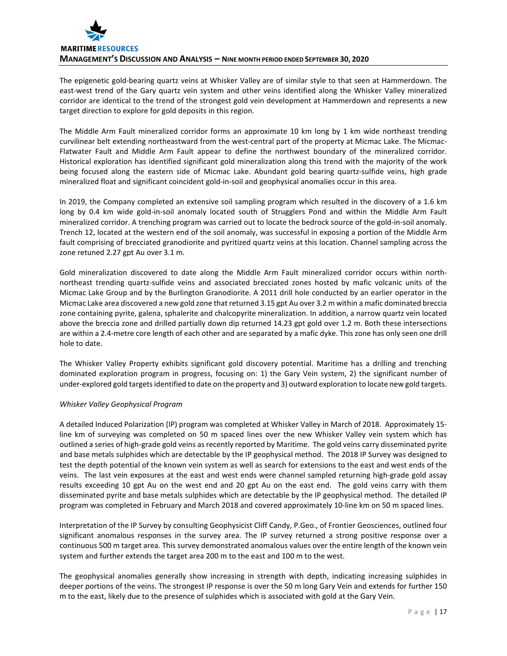

The epigenetic gold-bearing quartz veins at Whisker Valley are of similar style to that seen at Hammerdown. The east-west trend of the Gary quartz vein system and other veins identified along the Whisker Valley mineralized corridor are identical to the trend of the strongest gold vein development at Hammerdown and represents a new target direction to explore for gold deposits in this region.

The Middle Arm Fault mineralized corridor forms an approximate 10 km long by 1 km wide northeast trending curvilinear belt extending northeastward from the west-central part of the property at Micmac Lake. The Micmac-Flatwater Fault and Middle Arm Fault appear to define the northwest boundary of the mineralized corridor. Historical exploration has identified significant gold mineralization along this trend with the majority of the work being focused along the eastern side of Micmac Lake. Abundant gold bearing quartz-sulfide veins, high grade mineralized float and significant coincident gold-in-soil and geophysical anomalies occur in this area.

In 2019, the Company completed an extensive soil sampling program which resulted in the discovery of a 1.6 km long by 0.4 km wide gold-in-soil anomaly located south of Strugglers Pond and within the Middle Arm Fault mineralized corridor. A trenching program was carried out to locate the bedrock source of the gold-in-soil anomaly. Trench 12, located at the western end of the soil anomaly, was successful in exposing a portion of the Middle Arm fault comprising of brecciated granodiorite and pyritized quartz veins at this location. Channel sampling across the zone retuned 2.27 gpt Au over 3.1 m.

Gold mineralization discovered to date along the Middle Arm Fault mineralized corridor occurs within northnortheast trending quartz-sulfide veins and associated brecciated zones hosted by mafic volcanic units of the Micmac Lake Group and by the Burlington Granodiorite. A 2011 drill hole conducted by an earlier operator in the Micmac Lake area discovered a new gold zone that returned 3.15 gpt Au over 3.2 m within a mafic dominated breccia zone containing pyrite, galena, sphalerite and chalcopyrite mineralization. In addition, a narrow quartz vein located above the breccia zone and drilled partially down dip returned 14.23 gpt gold over 1.2 m. Both these intersections are within a 2.4-metre core length of each other and are separated by a mafic dyke. This zone has only seen one drill hole to date.

The Whisker Valley Property exhibits significant gold discovery potential. Maritime has a drilling and trenching dominated exploration program in progress, focusing on: 1) the Gary Vein system, 2) the significant number of under-explored gold targets identified to date on the property and 3) outward exploration to locate new gold targets.

## *Whisker Valley Geophysical Program*

A detailed Induced Polarization (IP) program was completed at Whisker Valley in March of 2018. Approximately 15 line km of surveying was completed on 50 m spaced lines over the new Whisker Valley vein system which has outlined a series of high-grade gold veins as recently reported by Maritime. The gold veins carry disseminated pyrite and base metals sulphides which are detectable by the IP geophysical method. The 2018 IP Survey was designed to test the depth potential of the known vein system as well as search for extensions to the east and west ends of the veins. The last vein exposures at the east and west ends were channel sampled returning high-grade gold assay results exceeding 10 gpt Au on the west end and 20 gpt Au on the east end. The gold veins carry with them disseminated pyrite and base metals sulphides which are detectable by the IP geophysical method. The detailed IP program was completed in February and March 2018 and covered approximately 10-line km on 50 m spaced lines.

Interpretation of the IP Survey by consulting Geophysicist Cliff Candy, P.Geo., of Frontier Geosciences, outlined four significant anomalous responses in the survey area. The IP survey returned a strong positive response over a continuous 500 m target area. This survey demonstrated anomalous values over the entire length of the known vein system and further extends the target area 200 m to the east and 100 m to the west.

The geophysical anomalies generally show increasing in strength with depth, indicating increasing sulphides in deeper portions of the veins. The strongest IP response is over the 50 m long Gary Vein and extends for further 150 m to the east, likely due to the presence of sulphides which is associated with gold at the Gary Vein.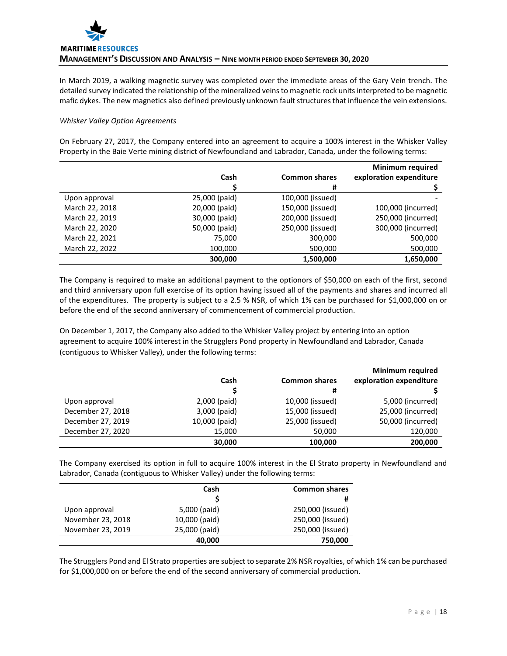In March 2019, a walking magnetic survey was completed over the immediate areas of the Gary Vein trench. The detailed survey indicated the relationship of the mineralized veins to magnetic rock units interpreted to be magnetic mafic dykes. The new magnetics also defined previously unknown fault structures that influence the vein extensions.

# *Whisker Valley Option Agreements*

On February 27, 2017, the Company entered into an agreement to acquire a 100% interest in the Whisker Valley Property in the Baie Verte mining district of Newfoundland and Labrador, Canada, under the following terms:

|                |               |                      | <b>Minimum required</b> |
|----------------|---------------|----------------------|-------------------------|
|                | Cash          | <b>Common shares</b> | exploration expenditure |
|                |               | #                    |                         |
| Upon approval  | 25,000 (paid) | 100,000 (issued)     |                         |
| March 22, 2018 | 20,000 (paid) | 150,000 (issued)     | 100,000 (incurred)      |
| March 22, 2019 | 30,000 (paid) | 200,000 (issued)     | 250,000 (incurred)      |
| March 22, 2020 | 50,000 (paid) | 250,000 (issued)     | 300,000 (incurred)      |
| March 22, 2021 | 75,000        | 300,000              | 500,000                 |
| March 22, 2022 | 100,000       | 500,000              | 500,000                 |
|                | 300.000       | 1,500,000            | 1,650,000               |

The Company is required to make an additional payment to the optionors of \$50,000 on each of the first, second and third anniversary upon full exercise of its option having issued all of the payments and shares and incurred all of the expenditures. The property is subject to a 2.5 % NSR, of which 1% can be purchased for \$1,000,000 on or before the end of the second anniversary of commencement of commercial production.

On December 1, 2017, the Company also added to the Whisker Valley project by entering into an option agreement to acquire 100% interest in the Strugglers Pond property in Newfoundland and Labrador, Canada (contiguous to Whisker Valley), under the following terms:

|                   |               |                      | <b>Minimum required</b> |
|-------------------|---------------|----------------------|-------------------------|
|                   | Cash          | <b>Common shares</b> | exploration expenditure |
|                   |               | #                    |                         |
| Upon approval     | 2,000 (paid)  | 10,000 (issued)      | 5,000 (incurred)        |
| December 27, 2018 | 3,000 (paid)  | 15,000 (issued)      | 25,000 (incurred)       |
| December 27, 2019 | 10,000 (paid) | 25,000 (issued)      | 50,000 (incurred)       |
| December 27, 2020 | 15,000        | 50,000               | 120,000                 |
|                   | 30,000        | 100,000              | 200,000                 |

The Company exercised its option in full to acquire 100% interest in the El Strato property in Newfoundland and Labrador, Canada (contiguous to Whisker Valley) under the following terms:

|                   | Cash          | <b>Common shares</b> |
|-------------------|---------------|----------------------|
|                   |               | #                    |
| Upon approval     | 5,000 (paid)  | 250,000 (issued)     |
| November 23, 2018 | 10,000 (paid) | 250,000 (issued)     |
| November 23, 2019 | 25,000 (paid) | 250,000 (issued)     |
|                   | 40,000        | 750,000              |

The Strugglers Pond and El Strato properties are subject to separate 2% NSR royalties, of which 1% can be purchased for \$1,000,000 on or before the end of the second anniversary of commercial production.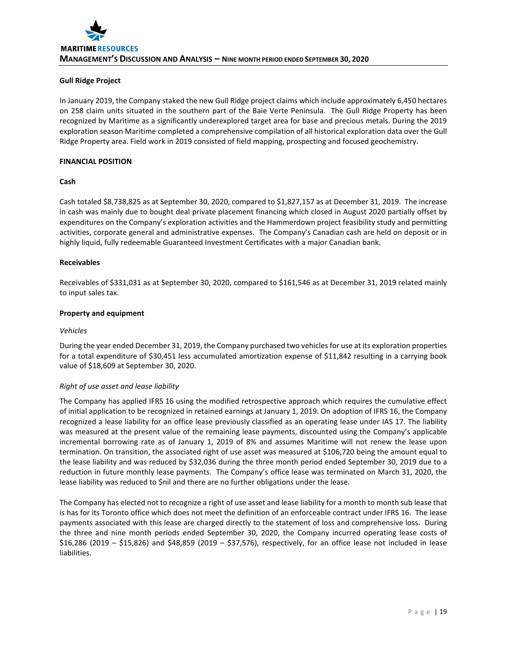# **Gull Ridge Project**

In January 2019, the Company staked the new Gull Ridge project claims which include approximately 6,450 hectares on 258 claim units situated in the southern part of the Baie Verte Peninsula. The Gull Ridge Property has been recognized by Maritime as a significantly underexplored target area for base and precious metals. During the 2019 exploration season Maritime completed a comprehensive compilation of all historical exploration data over the Gull Ridge Property area. Field work in 2019 consisted of field mapping, prospecting and focused geochemistry.

# **FINANCIAL POSITION**

## **Cash**

Cash totaled \$8,738,825 as at September 30, 2020, compared to \$1,827,157 as at December 31, 2019. The increase in cash was mainly due to bought deal private placement financing which closed in August 2020 partially offset by expenditures on the Company's exploration activities and the Hammerdown project feasibility study and permitting activities, corporate general and administrative expenses. The Company's Canadian cash are held on deposit or in highly liquid, fully redeemable Guaranteed Investment Certificates with a major Canadian bank.

## **Receivables**

Receivables of \$331,031 as at September 30, 2020, compared to \$161,546 as at December 31, 2019 related mainly to input sales tax.

## **Property and equipment**

#### *Vehicles*

During the year ended December 31, 2019, the Company purchased two vehicles for use at its exploration properties for a total expenditure of \$30,451 less accumulated amortization expense of \$11,842 resulting in a carrying book value of \$18,609 at September 30, 2020.

## *Right of use asset and lease liability*

The Company has applied IFRS 16 using the modified retrospective approach which requires the cumulative effect of initial application to be recognized in retained earnings at January 1, 2019. On adoption of IFRS 16, the Company recognized a lease liability for an office lease previously classified as an operating lease under IAS 17. The liability was measured at the present value of the remaining lease payments, discounted using the Company's applicable incremental borrowing rate as of January 1, 2019 of 8% and assumes Maritime will not renew the lease upon termination. On transition, the associated right of use asset was measured at \$106,720 being the amount equal to the lease liability and was reduced by \$32,036 during the three month period ended September 30, 2019 due to a reduction in future monthly lease payments. The Company's office lease was terminated on March 31, 2020, the lease liability was reduced to \$nil and there are no further obligations under the lease.

The Company has elected not to recognize a right of use asset and lease liability for a month to month sub lease that is has for its Toronto office which does not meet the definition of an enforceable contract under IFRS 16. The lease payments associated with this lease are charged directly to the statement of loss and comprehensive loss. During the three and nine month periods ended September 30, 2020, the Company incurred operating lease costs of \$16,286 (2019 – \$15,826) and \$48,859 (2019 – \$37,576), respectively, for an office lease not included in lease liabilities.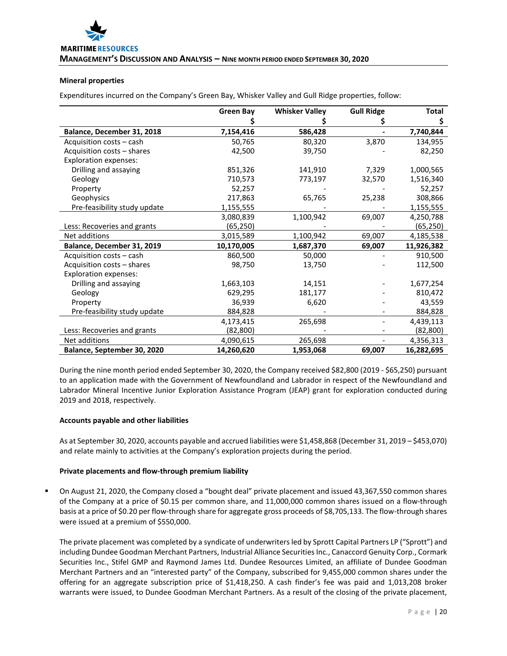## **Mineral properties**

Expenditures incurred on the Company's Green Bay, Whisker Valley and Gull Ridge properties, follow:

|                              | <b>Green Bay</b> | <b>Whisker Valley</b> | <b>Gull Ridge</b> | Total      |
|------------------------------|------------------|-----------------------|-------------------|------------|
|                              |                  |                       |                   | \$         |
| Balance, December 31, 2018   | 7,154,416        | 586,428               |                   | 7,740,844  |
| Acquisition costs – cash     | 50,765           | 80,320                | 3,870             | 134,955    |
| Acquisition costs - shares   | 42,500           | 39,750                |                   | 82,250     |
| <b>Exploration expenses:</b> |                  |                       |                   |            |
| Drilling and assaying        | 851,326          | 141,910               | 7,329             | 1,000,565  |
| Geology                      | 710,573          | 773,197               | 32,570            | 1,516,340  |
| Property                     | 52,257           |                       |                   | 52,257     |
| Geophysics                   | 217,863          | 65,765                | 25,238            | 308,866    |
| Pre-feasibility study update | 1,155,555        |                       |                   | 1,155,555  |
|                              | 3,080,839        | 1,100,942             | 69,007            | 4,250,788  |
| Less: Recoveries and grants  | (65,250)         |                       |                   | (65,250)   |
| Net additions                | 3,015,589        | 1,100,942             | 69,007            | 4,185,538  |
| Balance, December 31, 2019   | 10,170,005       | 1,687,370             | 69,007            | 11,926,382 |
| Acquisition costs - cash     | 860,500          | 50,000                |                   | 910,500    |
| Acquisition costs - shares   | 98,750           | 13,750                |                   | 112,500    |
| <b>Exploration expenses:</b> |                  |                       |                   |            |
| Drilling and assaying        | 1,663,103        | 14,151                |                   | 1,677,254  |
| Geology                      | 629,295          | 181,177               |                   | 810,472    |
| Property                     | 36,939           | 6,620                 |                   | 43,559     |
| Pre-feasibility study update | 884,828          |                       |                   | 884,828    |
|                              | 4,173,415        | 265,698               |                   | 4,439,113  |
| Less: Recoveries and grants  | (82, 800)        |                       |                   | (82,800)   |
| Net additions                | 4,090,615        | 265,698               |                   | 4,356,313  |
| Balance, September 30, 2020  | 14,260,620       | 1,953,068             | 69,007            | 16,282,695 |

During the nine month period ended September 30, 2020, the Company received \$82,800 (2019 - \$65,250) pursuant to an application made with the Government of Newfoundland and Labrador in respect of the Newfoundland and Labrador Mineral Incentive Junior Exploration Assistance Program (JEAP) grant for exploration conducted during 2019 and 2018, respectively.

## **Accounts payable and other liabilities**

As at September 30, 2020, accounts payable and accrued liabilities were \$1,458,868 (December 31, 2019 – \$453,070) and relate mainly to activities at the Company's exploration projects during the period.

## **Private placements and flow-through premium liability**

 On August 21, 2020, the Company closed a "bought deal" private placement and issued 43,367,550 common shares of the Company at a price of \$0.15 per common share, and 11,000,000 common shares issued on a flow-through basis at a price of \$0.20 per flow-through share for aggregate gross proceeds of \$8,705,133. The flow-through shares were issued at a premium of \$550,000.

The private placement was completed by a syndicate of underwriters led by Sprott Capital Partners LP ("Sprott") and including Dundee Goodman Merchant Partners, Industrial Alliance Securities Inc., Canaccord Genuity Corp., Cormark Securities Inc., Stifel GMP and Raymond James Ltd. Dundee Resources Limited, an affiliate of Dundee Goodman Merchant Partners and an "interested party" of the Company, subscribed for 9,455,000 common shares under the offering for an aggregate subscription price of \$1,418,250. A cash finder's fee was paid and 1,013,208 broker warrants were issued, to Dundee Goodman Merchant Partners. As a result of the closing of the private placement,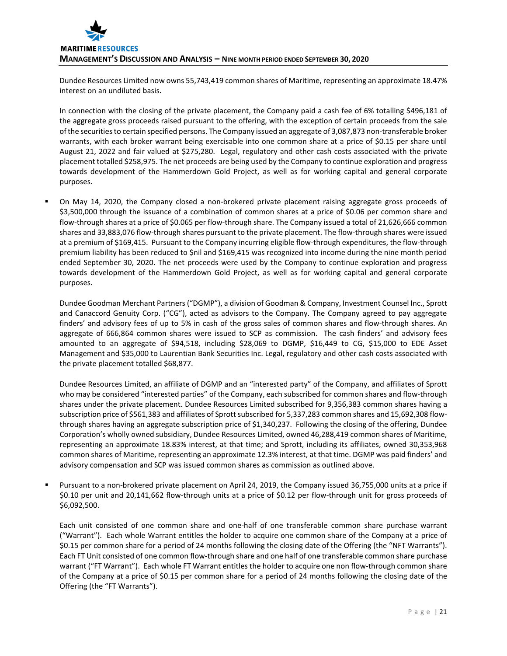

Dundee Resources Limited now owns 55,743,419 common shares of Maritime, representing an approximate 18.47% interest on an undiluted basis.

In connection with the closing of the private placement, the Company paid a cash fee of 6% totalling \$496,181 of the aggregate gross proceeds raised pursuant to the offering, with the exception of certain proceeds from the sale of the securities to certain specified persons. The Company issued an aggregate of 3,087,873 non-transferable broker warrants, with each broker warrant being exercisable into one common share at a price of \$0.15 per share until August 21, 2022 and fair valued at \$275,280. Legal, regulatory and other cash costs associated with the private placement totalled \$258,975. The net proceeds are being used by the Company to continue exploration and progress towards development of the Hammerdown Gold Project, as well as for working capital and general corporate purposes.

 On May 14, 2020, the Company closed a non-brokered private placement raising aggregate gross proceeds of \$3,500,000 through the issuance of a combination of common shares at a price of \$0.06 per common share and flow-through shares at a price of \$0.065 per flow-through share. The Company issued a total of 21,626,666 common shares and 33,883,076 flow-through shares pursuant to the private placement. The flow-through shares were issued at a premium of \$169,415. Pursuant to the Company incurring eligible flow-through expenditures, the flow-through premium liability has been reduced to \$nil and \$169,415 was recognized into income during the nine month period ended September 30, 2020. The net proceeds were used by the Company to continue exploration and progress towards development of the Hammerdown Gold Project, as well as for working capital and general corporate purposes.

Dundee Goodman Merchant Partners ("DGMP"), a division of Goodman & Company, Investment Counsel Inc., Sprott and Canaccord Genuity Corp. ("CG"), acted as advisors to the Company. The Company agreed to pay aggregate finders' and advisory fees of up to 5% in cash of the gross sales of common shares and flow-through shares. An aggregate of 666,864 common shares were issued to SCP as commission. The cash finders' and advisory fees amounted to an aggregate of \$94,518, including \$28,069 to DGMP, \$16,449 to CG, \$15,000 to EDE Asset Management and \$35,000 to Laurentian Bank Securities Inc. Legal, regulatory and other cash costs associated with the private placement totalled \$68,877.

Dundee Resources Limited, an affiliate of DGMP and an "interested party" of the Company, and affiliates of Sprott who may be considered "interested parties" of the Company, each subscribed for common shares and flow-through shares under the private placement. Dundee Resources Limited subscribed for 9,356,383 common shares having a subscription price of \$561,383 and affiliates of Sprott subscribed for 5,337,283 common shares and 15,692,308 flowthrough shares having an aggregate subscription price of \$1,340,237. Following the closing of the offering, Dundee Corporation's wholly owned subsidiary, Dundee Resources Limited, owned 46,288,419 common shares of Maritime, representing an approximate 18.83% interest, at that time; and Sprott, including its affiliates, owned 30,353,968 common shares of Maritime, representing an approximate 12.3% interest, at that time. DGMP was paid finders' and advisory compensation and SCP was issued common shares as commission as outlined above.

 Pursuant to a non-brokered private placement on April 24, 2019, the Company issued 36,755,000 units at a price if \$0.10 per unit and 20,141,662 flow-through units at a price of \$0.12 per flow-through unit for gross proceeds of \$6,092,500.

Each unit consisted of one common share and one-half of one transferable common share purchase warrant ("Warrant"). Each whole Warrant entitles the holder to acquire one common share of the Company at a price of \$0.15 per common share for a period of 24 months following the closing date of the Offering (the "NFT Warrants"). Each FT Unit consisted of one common flow-through share and one half of one transferable common share purchase warrant ("FT Warrant"). Each whole FT Warrant entitles the holder to acquire one non flow-through common share of the Company at a price of \$0.15 per common share for a period of 24 months following the closing date of the Offering (the "FT Warrants").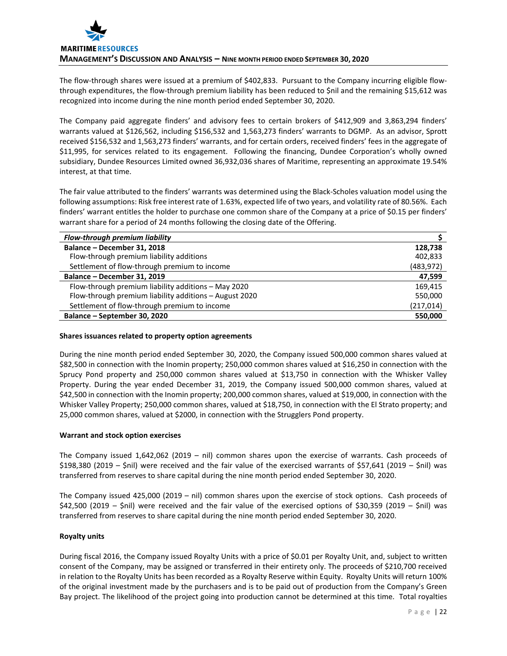The flow-through shares were issued at a premium of \$402,833. Pursuant to the Company incurring eligible flowthrough expenditures, the flow-through premium liability has been reduced to \$nil and the remaining \$15,612 was recognized into income during the nine month period ended September 30, 2020.

The Company paid aggregate finders' and advisory fees to certain brokers of \$412,909 and 3,863,294 finders' warrants valued at \$126,562, including \$156,532 and 1,563,273 finders' warrants to DGMP. As an advisor, Sprott received \$156,532 and 1,563,273 finders' warrants, and for certain orders, received finders' fees in the aggregate of \$11,995, for services related to its engagement. Following the financing, Dundee Corporation's wholly owned subsidiary, Dundee Resources Limited owned 36,932,036 shares of Maritime, representing an approximate 19.54% interest, at that time.

The fair value attributed to the finders' warrants was determined using the Black-Scholes valuation model using the following assumptions: Risk free interest rate of 1.63%, expected life of two years, and volatility rate of 80.56%. Each finders' warrant entitles the holder to purchase one common share of the Company at a price of \$0.15 per finders' warrant share for a period of 24 months following the closing date of the Offering.

| Flow-through premium liability                         |            |
|--------------------------------------------------------|------------|
| Balance - December 31, 2018                            | 128,738    |
| Flow-through premium liability additions               | 402,833    |
| Settlement of flow-through premium to income           | (483, 972) |
| Balance - December 31, 2019                            | 47,599     |
| Flow-through premium liability additions - May 2020    | 169,415    |
| Flow-through premium liability additions - August 2020 | 550,000    |
| Settlement of flow-through premium to income           | (217,014)  |
| Balance - September 30, 2020                           | 550,000    |

## **Shares issuances related to property option agreements**

During the nine month period ended September 30, 2020, the Company issued 500,000 common shares valued at \$82,500 in connection with the Inomin property; 250,000 common shares valued at \$16,250 in connection with the Sprucy Pond property and 250,000 common shares valued at \$13,750 in connection with the Whisker Valley Property. During the year ended December 31, 2019, the Company issued 500,000 common shares, valued at \$42,500 in connection with the Inomin property; 200,000 common shares, valued at \$19,000, in connection with the Whisker Valley Property; 250,000 common shares, valued at \$18,750, in connection with the El Strato property; and 25,000 common shares, valued at \$2000, in connection with the Strugglers Pond property.

# **Warrant and stock option exercises**

The Company issued 1,642,062 (2019 – nil) common shares upon the exercise of warrants. Cash proceeds of \$198,380 (2019 – \$nil) were received and the fair value of the exercised warrants of \$57,641 (2019 – \$nil) was transferred from reserves to share capital during the nine month period ended September 30, 2020.

The Company issued 425,000 (2019 – nil) common shares upon the exercise of stock options. Cash proceeds of \$42,500 (2019 – \$nil) were received and the fair value of the exercised options of \$30,359 (2019 – \$nil) was transferred from reserves to share capital during the nine month period ended September 30, 2020.

## **Royalty units**

During fiscal 2016, the Company issued Royalty Units with a price of \$0.01 per Royalty Unit, and, subject to written consent of the Company, may be assigned or transferred in their entirety only. The proceeds of \$210,700 received in relation to the Royalty Units has been recorded as a Royalty Reserve within Equity. Royalty Units will return 100% of the original investment made by the purchasers and is to be paid out of production from the Company's Green Bay project. The likelihood of the project going into production cannot be determined at this time. Total royalties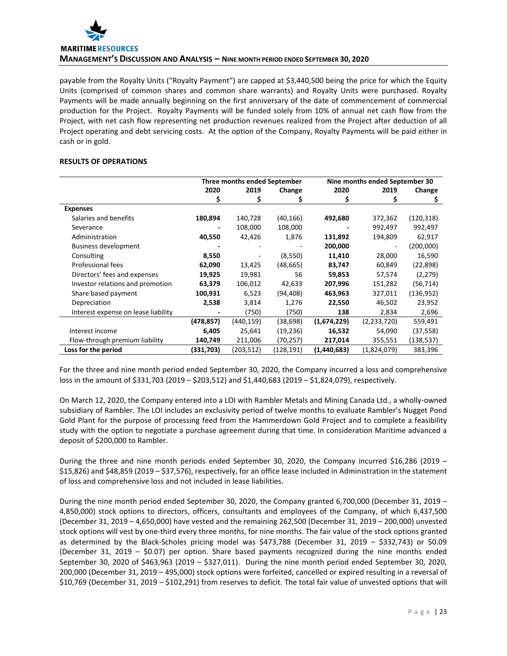

payable from the Royalty Units ("Royalty Payment") are capped at \$3,440,500 being the price for which the Equity Units (comprised of common shares and common share warrants) and Royalty Units were purchased. Royalty Payments will be made annually beginning on the first anniversary of the date of commencement of commercial production for the Project. Royalty Payments will be funded solely from 10% of annual net cash flow from the Project, with net cash flow representing net production revenues realized from the Project after deduction of all Project operating and debt servicing costs. At the option of the Company, Royalty Payments will be paid either in cash or in gold.

## **RESULTS OF OPERATIONS**

|                                     | Three months ended September |           |           |             | Nine months ended September 30 |            |
|-------------------------------------|------------------------------|-----------|-----------|-------------|--------------------------------|------------|
|                                     | 2020                         | 2019      | Change    | 2020        | 2019                           | Change     |
|                                     | Ş                            | s         |           |             |                                | Ş          |
| <b>Expenses</b>                     |                              |           |           |             |                                |            |
| Salaries and benefits               | 180,894                      | 140,728   | (40,166)  | 492,680     | 372,362                        | (120, 318) |
| Severance                           |                              | 108,000   | 108,000   |             | 992,497                        | 992,497    |
| Administration                      | 40,550                       | 42,426    | 1,876     | 131,892     | 194,809                        | 62,917     |
| <b>Business development</b>         |                              |           |           | 200,000     |                                | (200,000)  |
| Consulting                          | 8,550                        |           | (8,550)   | 11,410      | 28,000                         | 16,590     |
| Professional fees                   | 62,090                       | 13,425    | (48, 665) | 83,747      | 60,849                         | (22, 898)  |
| Directors' fees and expenses        | 19,925                       | 19,981    | 56        | 59,853      | 57,574                         | (2, 279)   |
| Investor relations and promotion    | 63,379                       | 106,012   | 42,633    | 207,996     | 151,282                        | (56, 714)  |
| Share based payment                 | 100,931                      | 6,523     | (94, 408) | 463,963     | 327,011                        | (136, 952) |
| Depreciation                        | 2,538                        | 3,814     | 1,276     | 22,550      | 46,502                         | 23,952     |
| Interest expense on lease liability |                              | (750)     | (750)     | 138         | 2,834                          | 2,696      |
|                                     | (478,857)                    | (440,159) | (38,698)  | (1,674,229) | (2,233,720)                    | 559,491    |
| Interest income                     | 6,405                        | 25,641    | (19,236)  | 16,532      | 54,090                         | (37, 558)  |
| Flow-through premium liability      | 140,749                      | 211,006   | (70,257)  | 217,014     | 355,551                        | (138,537)  |
| Loss for the period                 | (331,703)                    | (203,512) | (128,191) | (1,440,683) | (1,824,079)                    | 383,396    |

For the three and nine month period ended September 30, 2020, the Company incurred a loss and comprehensive loss in the amount of \$331,703 (2019 – \$203,512) and \$1,440,683 (2019 – \$1,824,079), respectively.

On March 12, 2020, the Company entered into a LOI with Rambler Metals and Mining Canada Ltd., a wholly-owned subsidiary of Rambler. The LOI includes an exclusivity period of twelve months to evaluate Rambler's Nugget Pond Gold Plant for the purpose of processing feed from the Hammerdown Gold Project and to complete a feasibility study with the option to negotiate a purchase agreement during that time. In consideration Maritime advanced a deposit of \$200,000 to Rambler.

During the three and nine month periods ended September 30, 2020, the Company incurred \$16,286 (2019 – \$15,826) and \$48,859 (2019 – \$37,576), respectively, for an office lease included in Administration in the statement of loss and comprehensive loss and not included in lease liabilities.

During the nine month period ended September 30, 2020, the Company granted 6,700,000 (December 31, 2019 – 4,850,000) stock options to directors, officers, consultants and employees of the Company, of which 6,437,500 (December 31, 2019 – 4,650,000) have vested and the remaining 262,500 (December 31, 2019 – 200,000) unvested stock options will vest by one-third every three months, for nine months. The fair value of the stock options granted as determined by the Black-Scholes pricing model was \$473,788 (December 31, 2019 – \$332,743) or \$0.09 (December 31, 2019 – \$0.07) per option. Share based payments recognized during the nine months ended September 30, 2020 of \$463,963 (2019 – \$327,011). During the nine month period ended September 30, 2020, 200,000 (December 31, 2019 – 495,000) stock options were forfeited, cancelled or expired resulting in a reversal of \$10,769 (December 31, 2019 – \$102,291) from reserves to deficit. The total fair value of unvested options that will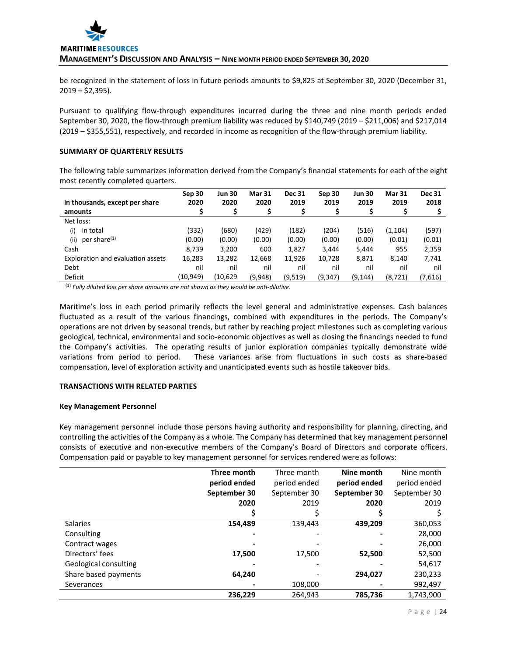

be recognized in the statement of loss in future periods amounts to \$9,825 at September 30, 2020 (December 31,  $2019 - $2,395$ ).

Pursuant to qualifying flow-through expenditures incurred during the three and nine month periods ended September 30, 2020, the flow-through premium liability was reduced by \$140,749 (2019 – \$211,006) and \$217,014 (2019 – \$355,551), respectively, and recorded in income as recognition of the flow-through premium liability.

# **SUMMARY OF QUARTERLY RESULTS**

The following table summarizes information derived from the Company's financial statements for each of the eight most recently completed quarters.

| in thousands, except per share    | Sep 30<br>2020 | <b>Jun 30</b><br>2020 | <b>Mar 31</b><br>2020 | <b>Dec 31</b><br>2019 | Sep 30<br>2019 | <b>Jun 30</b><br>2019 | <b>Mar 31</b><br>2019 | <b>Dec 31</b><br>2018 |
|-----------------------------------|----------------|-----------------------|-----------------------|-----------------------|----------------|-----------------------|-----------------------|-----------------------|
| amounts                           |                |                       | \$                    |                       |                |                       |                       |                       |
| Net loss:                         |                |                       |                       |                       |                |                       |                       |                       |
| (i)<br>in total                   | (332)          | (680)                 | (429)                 | (182)                 | (204)          | (516)                 | (1,104)               | (597)                 |
| per share <sup>(1)</sup><br>(iii) | (0.00)         | (0.00)                | (0.00)                | (0.00)                | (0.00)         | (0.00)                | (0.01)                | (0.01)                |
| Cash                              | 8,739          | 3.200                 | 600                   | 1,827                 | 3.444          | 5,444                 | 955                   | 2,359                 |
| Exploration and evaluation assets | 16,283         | 13,282                | 12,668                | 11,926                | 10,728         | 8,871                 | 8,140                 | 7,741                 |
| Debt                              | nil            | nil                   | nil                   | nil                   | nil            | nil                   | nil                   | nil                   |
| Deficit                           | (10,949)       | (10,629)              | (9,948)               | (9,519)               | (9, 347)       | (9,144)               | (8, 721)              | (7,616)               |

(1) *Fully diluted loss per share amounts are not shown as they would be anti-dilutive*.

Maritime's loss in each period primarily reflects the level general and administrative expenses. Cash balances fluctuated as a result of the various financings, combined with expenditures in the periods. The Company's operations are not driven by seasonal trends, but rather by reaching project milestones such as completing various geological, technical, environmental and socio-economic objectives as well as closing the financings needed to fund the Company's activities. The operating results of junior exploration companies typically demonstrate wide variations from period to period. These variances arise from fluctuations in such costs as share-based compensation, level of exploration activity and unanticipated events such as hostile takeover bids.

## **TRANSACTIONS WITH RELATED PARTIES**

## **Key Management Personnel**

Key management personnel include those persons having authority and responsibility for planning, directing, and controlling the activities of the Company as a whole. The Company has determined that key management personnel consists of executive and non-executive members of the Company's Board of Directors and corporate officers. Compensation paid or payable to key management personnel for services rendered were as follows:

|                       | Three month  | Three month  | Nine month   | Nine month   |
|-----------------------|--------------|--------------|--------------|--------------|
|                       | period ended | period ended | period ended | period ended |
|                       | September 30 | September 30 | September 30 | September 30 |
|                       | 2020         | 2019         | 2020         | 2019         |
|                       |              |              |              |              |
| <b>Salaries</b>       | 154,489      | 139,443      | 439,209      | 360,053      |
| Consulting            |              |              |              | 28,000       |
| Contract wages        |              |              |              | 26,000       |
| Directors' fees       | 17,500       | 17,500       | 52,500       | 52,500       |
| Geological consulting |              |              |              | 54,617       |
| Share based payments  | 64,240       |              | 294,027      | 230,233      |
| Severances            |              | 108,000      |              | 992,497      |
|                       | 236,229      | 264.943      | 785.736      | 1,743,900    |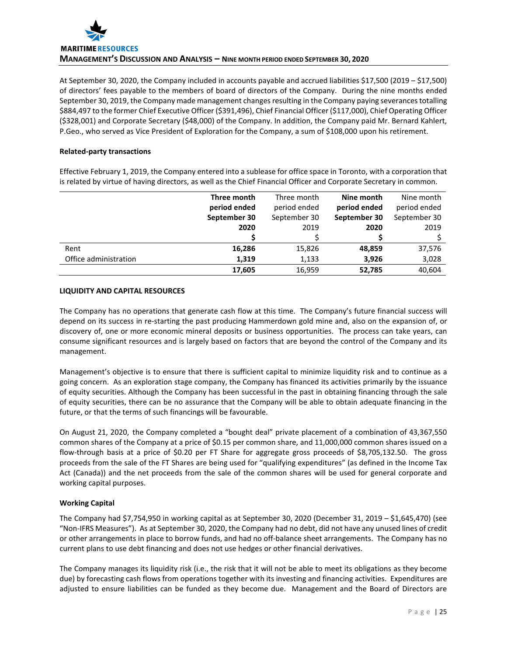At September 30, 2020, the Company included in accounts payable and accrued liabilities \$17,500 (2019 – \$17,500) of directors' fees payable to the members of board of directors of the Company. During the nine months ended September 30, 2019, the Company made management changes resulting in the Company paying severances totalling \$884,497 to the former Chief Executive Officer (\$391,496), Chief Financial Officer (\$117,000), Chief Operating Officer (\$328,001) and Corporate Secretary (\$48,000) of the Company. In addition, the Company paid Mr. Bernard Kahlert, P.Geo., who served as Vice President of Exploration for the Company, a sum of \$108,000 upon his retirement.

# **Related-party transactions**

Effective February 1, 2019, the Company entered into a sublease for office space in Toronto, with a corporation that is related by virtue of having directors, as well as the Chief Financial Officer and Corporate Secretary in common.

|                       | Three month  | Three month  | Nine month   | Nine month   |
|-----------------------|--------------|--------------|--------------|--------------|
|                       | period ended | period ended | period ended | period ended |
|                       | September 30 | September 30 | September 30 | September 30 |
|                       | 2020         | 2019         | 2020         | 2019         |
|                       |              |              |              |              |
| Rent                  | 16,286       | 15,826       | 48,859       | 37,576       |
| Office administration | 1,319        | 1,133        | 3,926        | 3,028        |
|                       | 17,605       | 16,959       | 52,785       | 40,604       |

# **LIQUIDITY AND CAPITAL RESOURCES**

The Company has no operations that generate cash flow at this time. The Company's future financial success will depend on its success in re-starting the past producing Hammerdown gold mine and, also on the expansion of, or discovery of, one or more economic mineral deposits or business opportunities. The process can take years, can consume significant resources and is largely based on factors that are beyond the control of the Company and its management.

Management's objective is to ensure that there is sufficient capital to minimize liquidity risk and to continue as a going concern. As an exploration stage company, the Company has financed its activities primarily by the issuance of equity securities. Although the Company has been successful in the past in obtaining financing through the sale of equity securities, there can be no assurance that the Company will be able to obtain adequate financing in the future, or that the terms of such financings will be favourable.

On August 21, 2020, the Company completed a "bought deal" private placement of a combination of 43,367,550 common shares of the Company at a price of \$0.15 per common share, and 11,000,000 common shares issued on a flow-through basis at a price of \$0.20 per FT Share for aggregate gross proceeds of \$8,705,132.50. The gross proceeds from the sale of the FT Shares are being used for "qualifying expenditures" (as defined in the Income Tax Act (Canada)) and the net proceeds from the sale of the common shares will be used for general corporate and working capital purposes.

# **Working Capital**

The Company had \$7,754,950 in working capital as at September 30, 2020 (December 31, 2019 – \$1,645,470) (see "Non-IFRS Measures"). As at September 30, 2020, the Company had no debt, did not have any unused lines of credit or other arrangements in place to borrow funds, and had no off-balance sheet arrangements. The Company has no current plans to use debt financing and does not use hedges or other financial derivatives.

The Company manages its liquidity risk (i.e., the risk that it will not be able to meet its obligations as they become due) by forecasting cash flows from operations together with its investing and financing activities. Expenditures are adjusted to ensure liabilities can be funded as they become due. Management and the Board of Directors are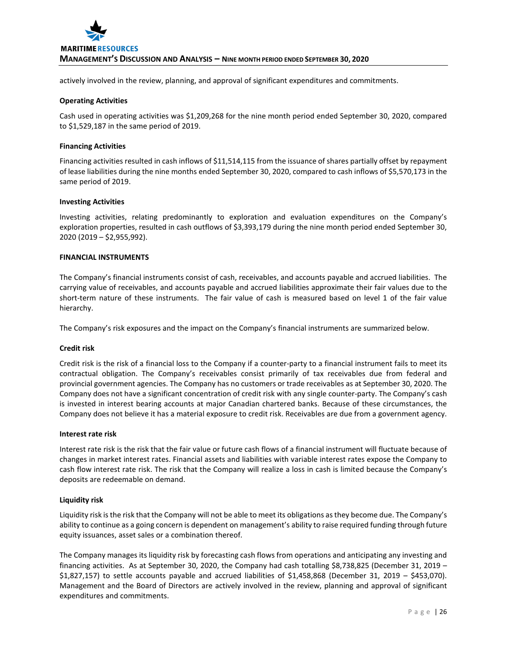

actively involved in the review, planning, and approval of significant expenditures and commitments.

#### **Operating Activities**

Cash used in operating activities was \$1,209,268 for the nine month period ended September 30, 2020, compared to \$1,529,187 in the same period of 2019.

#### **Financing Activities**

Financing activities resulted in cash inflows of \$11,514,115 from the issuance of shares partially offset by repayment of lease liabilities during the nine months ended September 30, 2020, compared to cash inflows of \$5,570,173 in the same period of 2019.

#### **Investing Activities**

Investing activities, relating predominantly to exploration and evaluation expenditures on the Company's exploration properties, resulted in cash outflows of \$3,393,179 during the nine month period ended September 30, 2020 (2019 – \$2,955,992).

#### **FINANCIAL INSTRUMENTS**

The Company's financial instruments consist of cash, receivables, and accounts payable and accrued liabilities. The carrying value of receivables, and accounts payable and accrued liabilities approximate their fair values due to the short-term nature of these instruments. The fair value of cash is measured based on level 1 of the fair value hierarchy.

The Company's risk exposures and the impact on the Company's financial instruments are summarized below.

#### **Credit risk**

Credit risk is the risk of a financial loss to the Company if a counter-party to a financial instrument fails to meet its contractual obligation. The Company's receivables consist primarily of tax receivables due from federal and provincial government agencies. The Company has no customers or trade receivables as at September 30, 2020. The Company does not have a significant concentration of credit risk with any single counter-party. The Company's cash is invested in interest bearing accounts at major Canadian chartered banks. Because of these circumstances, the Company does not believe it has a material exposure to credit risk. Receivables are due from a government agency.

#### **Interest rate risk**

Interest rate risk is the risk that the fair value or future cash flows of a financial instrument will fluctuate because of changes in market interest rates. Financial assets and liabilities with variable interest rates expose the Company to cash flow interest rate risk. The risk that the Company will realize a loss in cash is limited because the Company's deposits are redeemable on demand.

## **Liquidity risk**

Liquidity risk is the risk that the Company will not be able to meet its obligations as they become due. The Company's ability to continue as a going concern is dependent on management's ability to raise required funding through future equity issuances, asset sales or a combination thereof.

The Company manages its liquidity risk by forecasting cash flows from operations and anticipating any investing and financing activities. As at September 30, 2020, the Company had cash totalling \$8,738,825 (December 31, 2019 – \$1,827,157) to settle accounts payable and accrued liabilities of \$1,458,868 (December 31, 2019 – \$453,070). Management and the Board of Directors are actively involved in the review, planning and approval of significant expenditures and commitments.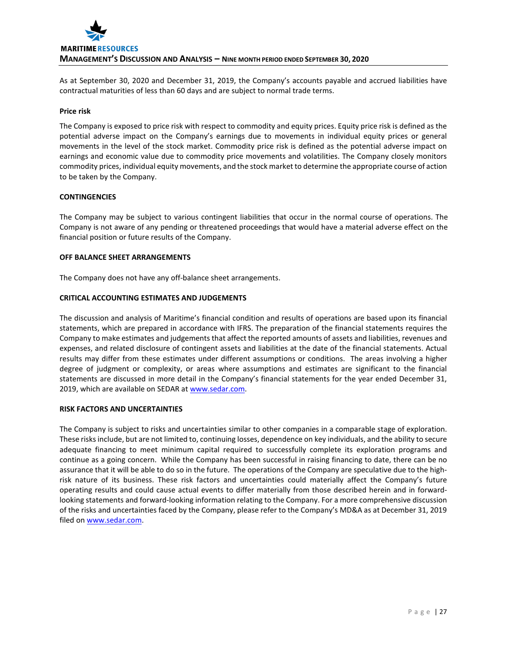

As at September 30, 2020 and December 31, 2019, the Company's accounts payable and accrued liabilities have contractual maturities of less than 60 days and are subject to normal trade terms.

#### **Price risk**

The Company is exposed to price risk with respect to commodity and equity prices. Equity price risk is defined as the potential adverse impact on the Company's earnings due to movements in individual equity prices or general movements in the level of the stock market. Commodity price risk is defined as the potential adverse impact on earnings and economic value due to commodity price movements and volatilities. The Company closely monitors commodity prices, individual equity movements, and the stock market to determine the appropriate course of action to be taken by the Company.

#### **CONTINGENCIES**

The Company may be subject to various contingent liabilities that occur in the normal course of operations. The Company is not aware of any pending or threatened proceedings that would have a material adverse effect on the financial position or future results of the Company.

#### **OFF BALANCE SHEET ARRANGEMENTS**

The Company does not have any off-balance sheet arrangements.

## **CRITICAL ACCOUNTING ESTIMATES AND JUDGEMENTS**

The discussion and analysis of Maritime's financial condition and results of operations are based upon its financial statements, which are prepared in accordance with IFRS. The preparation of the financial statements requires the Company to make estimates and judgements that affect the reported amounts of assets and liabilities, revenues and expenses, and related disclosure of contingent assets and liabilities at the date of the financial statements. Actual results may differ from these estimates under different assumptions or conditions. The areas involving a higher degree of judgment or complexity, or areas where assumptions and estimates are significant to the financial statements are discussed in more detail in the Company's financial statements for the year ended December 31, 2019, which are available on SEDAR a[t www.sedar.com.](http://www.sedar.com/)

#### **RISK FACTORS AND UNCERTAINTIES**

The Company is subject to risks and uncertainties similar to other companies in a comparable stage of exploration. These risks include, but are not limited to, continuing losses, dependence on key individuals, and the ability to secure adequate financing to meet minimum capital required to successfully complete its exploration programs and continue as a going concern. While the Company has been successful in raising financing to date, there can be no assurance that it will be able to do so in the future. The operations of the Company are speculative due to the highrisk nature of its business. These risk factors and uncertainties could materially affect the Company's future operating results and could cause actual events to differ materially from those described herein and in forwardlooking statements and forward-looking information relating to the Company. For a more comprehensive discussion of the risks and uncertainties faced by the Company, please refer to the Company's MD&A as at December 31, 2019 filed on [www.sedar.com.](http://www.sedar.com/)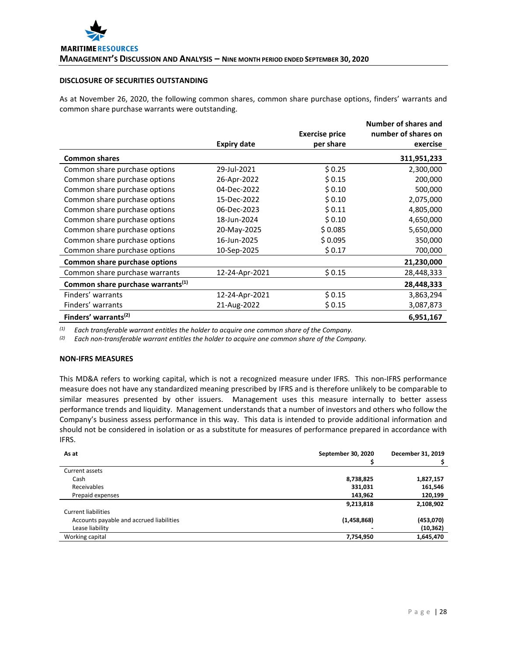# **DISCLOSURE OF SECURITIES OUTSTANDING**

As at November 26, 2020, the following common shares, common share purchase options, finders' warrants and common share purchase warrants were outstanding.

|                                               |                    | <b>Exercise price</b> | Number of shares and<br>number of shares on |
|-----------------------------------------------|--------------------|-----------------------|---------------------------------------------|
|                                               | <b>Expiry date</b> | per share             | exercise                                    |
| <b>Common shares</b>                          |                    |                       | 311,951,233                                 |
| Common share purchase options                 | 29-Jul-2021        | \$0.25                | 2,300,000                                   |
| Common share purchase options                 | 26-Apr-2022        | \$0.15                | 200,000                                     |
| Common share purchase options                 | 04-Dec-2022        | \$0.10                | 500,000                                     |
| Common share purchase options                 | 15-Dec-2022        | \$0.10                | 2,075,000                                   |
| Common share purchase options                 | 06-Dec-2023        | \$0.11                | 4,805,000                                   |
| Common share purchase options                 | 18-Jun-2024        | \$0.10                | 4,650,000                                   |
| Common share purchase options                 | 20-May-2025        | \$0.085               | 5,650,000                                   |
| Common share purchase options                 | 16-Jun-2025        | \$0.095               | 350,000                                     |
| Common share purchase options                 | 10-Sep-2025        | \$0.17                | 700,000                                     |
| Common share purchase options                 |                    |                       | 21,230,000                                  |
| Common share purchase warrants                | 12-24-Apr-2021     | \$0.15                | 28,448,333                                  |
| Common share purchase warrants <sup>(1)</sup> |                    |                       | 28,448,333                                  |
| Finders' warrants                             | 12-24-Apr-2021     | \$0.15                | 3,863,294                                   |
| Finders' warrants                             | 21-Aug-2022        | \$0.15                | 3,087,873                                   |
| Finders' warrants <sup>(2)</sup>              |                    |                       | 6,951,167                                   |

*(1) Each transferable warrant entitles the holder to acquire one common share of the Company.*

*(2) Each non-transferable warrant entitles the holder to acquire one common share of the Company.*

#### **NON-IFRS MEASURES**

This MD&A refers to working capital, which is not a recognized measure under IFRS. This non-IFRS performance measure does not have any standardized meaning prescribed by IFRS and is therefore unlikely to be comparable to similar measures presented by other issuers. Management uses this measure internally to better assess performance trends and liquidity. Management understands that a number of investors and others who follow the Company's business assess performance in this way. This data is intended to provide additional information and should not be considered in isolation or as a substitute for measures of performance prepared in accordance with IFRS.

| As at                                    | September 30, 2020 | December 31, 2019 |
|------------------------------------------|--------------------|-------------------|
|                                          |                    |                   |
| Current assets                           |                    |                   |
| Cash                                     | 8,738,825          | 1,827,157         |
| Receivables                              | 331,031            | 161,546           |
| Prepaid expenses                         | 143,962            | 120,199           |
|                                          | 9,213,818          | 2,108,902         |
| Current liabilities                      |                    |                   |
| Accounts payable and accrued liabilities | (1,458,868)        | (453,070)         |
| Lease liability                          |                    | (10, 362)         |
| Working capital                          | 7,754,950          | 1,645,470         |